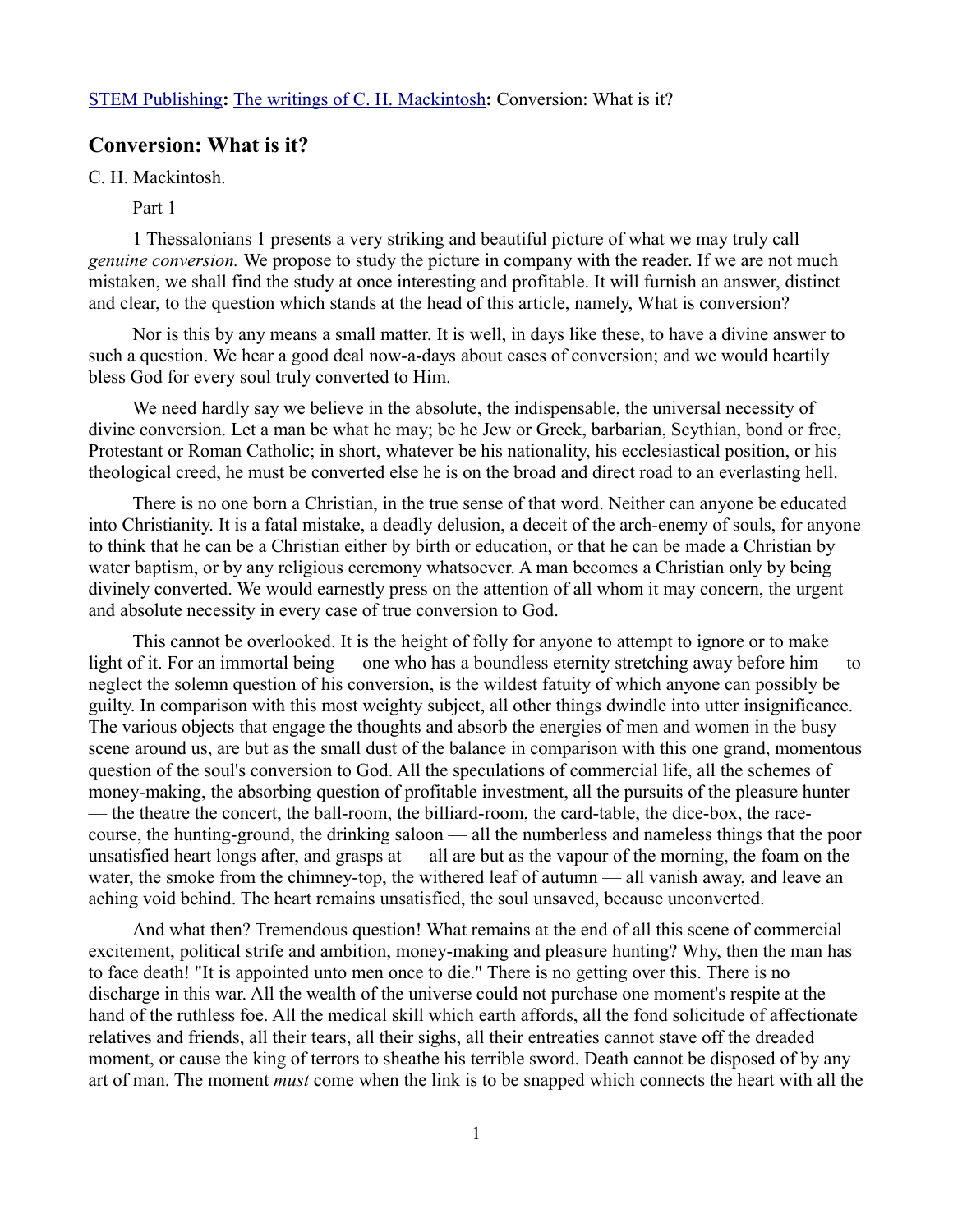## **Conversion: What is it?**

C. H. Mackintosh.

Part 1

1 Thessalonians 1 presents a very striking and beautiful picture of what we may truly call *genuine conversion.* We propose to study the picture in company with the reader. If we are not much mistaken, we shall find the study at once interesting and profitable. It will furnish an answer, distinct and clear, to the question which stands at the head of this article, namely, What is conversion?

Nor is this by any means a small matter. It is well, in days like these, to have a divine answer to such a question. We hear a good deal now-a-days about cases of conversion; and we would heartily bless God for every soul truly converted to Him.

We need hardly say we believe in the absolute, the indispensable, the universal necessity of divine conversion. Let a man be what he may; be he Jew or Greek, barbarian, Scythian, bond or free, Protestant or Roman Catholic; in short, whatever be his nationality, his ecclesiastical position, or his theological creed, he must be converted else he is on the broad and direct road to an everlasting hell.

There is no one born a Christian, in the true sense of that word. Neither can anyone be educated into Christianity. It is a fatal mistake, a deadly delusion, a deceit of the arch-enemy of souls, for anyone to think that he can be a Christian either by birth or education, or that he can be made a Christian by water baptism, or by any religious ceremony whatsoever. A man becomes a Christian only by being divinely converted. We would earnestly press on the attention of all whom it may concern, the urgent and absolute necessity in every case of true conversion to God.

This cannot be overlooked. It is the height of folly for anyone to attempt to ignore or to make light of it. For an immortal being — one who has a boundless eternity stretching away before him — to neglect the solemn question of his conversion, is the wildest fatuity of which anyone can possibly be guilty. In comparison with this most weighty subject, all other things dwindle into utter insignificance. The various objects that engage the thoughts and absorb the energies of men and women in the busy scene around us, are but as the small dust of the balance in comparison with this one grand, momentous question of the soul's conversion to God. All the speculations of commercial life, all the schemes of money-making, the absorbing question of profitable investment, all the pursuits of the pleasure hunter — the theatre the concert, the ball-room, the billiard-room, the card-table, the dice-box, the racecourse, the hunting-ground, the drinking saloon — all the numberless and nameless things that the poor unsatisfied heart longs after, and grasps at — all are but as the vapour of the morning, the foam on the water, the smoke from the chimney-top, the withered leaf of autumn — all vanish away, and leave an aching void behind. The heart remains unsatisfied, the soul unsaved, because unconverted.

And what then? Tremendous question! What remains at the end of all this scene of commercial excitement, political strife and ambition, money-making and pleasure hunting? Why, then the man has to face death! "It is appointed unto men once to die." There is no getting over this. There is no discharge in this war. All the wealth of the universe could not purchase one moment's respite at the hand of the ruthless foe. All the medical skill which earth affords, all the fond solicitude of affectionate relatives and friends, all their tears, all their sighs, all their entreaties cannot stave off the dreaded moment, or cause the king of terrors to sheathe his terrible sword. Death cannot be disposed of by any art of man. The moment *must* come when the link is to be snapped which connects the heart with all the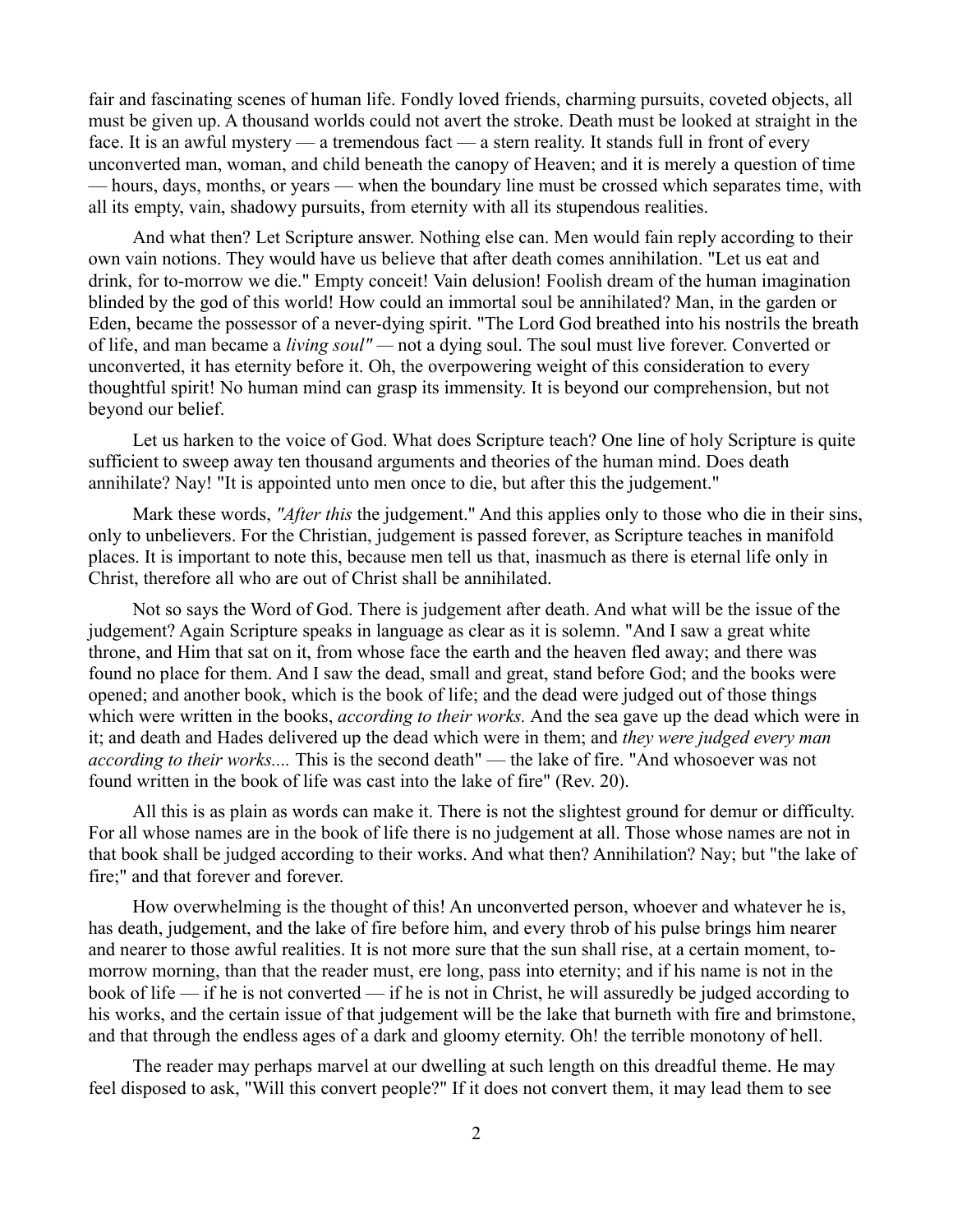fair and fascinating scenes of human life. Fondly loved friends, charming pursuits, coveted objects, all must be given up. A thousand worlds could not avert the stroke. Death must be looked at straight in the face. It is an awful mystery — a tremendous fact — a stern reality. It stands full in front of every unconverted man, woman, and child beneath the canopy of Heaven; and it is merely a question of time — hours, days, months, or years — when the boundary line must be crossed which separates time, with all its empty, vain, shadowy pursuits, from eternity with all its stupendous realities.

And what then? Let Scripture answer. Nothing else can. Men would fain reply according to their own vain notions. They would have us believe that after death comes annihilation. "Let us eat and drink, for to-morrow we die." Empty conceit! Vain delusion! Foolish dream of the human imagination blinded by the god of this world! How could an immortal soul be annihilated? Man, in the garden or Eden, became the possessor of a never-dying spirit. "The Lord God breathed into his nostrils the breath of life, and man became a *living soul" —* not a dying soul. The soul must live forever. Converted or unconverted, it has eternity before it. Oh, the overpowering weight of this consideration to every thoughtful spirit! No human mind can grasp its immensity. It is beyond our comprehension, but not beyond our belief.

Let us harken to the voice of God. What does Scripture teach? One line of holy Scripture is quite sufficient to sweep away ten thousand arguments and theories of the human mind. Does death annihilate? Nay! "It is appointed unto men once to die, but after this the judgement."

Mark these words, *"After this* the judgement." And this applies only to those who die in their sins, only to unbelievers. For the Christian, judgement is passed forever, as Scripture teaches in manifold places. It is important to note this, because men tell us that, inasmuch as there is eternal life only in Christ, therefore all who are out of Christ shall be annihilated.

Not so says the Word of God. There is judgement after death. And what will be the issue of the judgement? Again Scripture speaks in language as clear as it is solemn. "And I saw a great white throne, and Him that sat on it, from whose face the earth and the heaven fled away; and there was found no place for them. And I saw the dead, small and great, stand before God; and the books were opened; and another book, which is the book of life; and the dead were judged out of those things which were written in the books, *according to their works.* And the sea gave up the dead which were in it; and death and Hades delivered up the dead which were in them; and *they were judged every man according to their works....* This is the second death" — the lake of fire. "And whosoever was not found written in the book of life was cast into the lake of fire" (Rev. 20).

All this is as plain as words can make it. There is not the slightest ground for demur or difficulty. For all whose names are in the book of life there is no judgement at all. Those whose names are not in that book shall be judged according to their works. And what then? Annihilation? Nay; but "the lake of fire;" and that forever and forever.

How overwhelming is the thought of this! An unconverted person, whoever and whatever he is, has death, judgement, and the lake of fire before him, and every throb of his pulse brings him nearer and nearer to those awful realities. It is not more sure that the sun shall rise, at a certain moment, tomorrow morning, than that the reader must, ere long, pass into eternity; and if his name is not in the book of life — if he is not converted — if he is not in Christ, he will assuredly be judged according to his works, and the certain issue of that judgement will be the lake that burneth with fire and brimstone, and that through the endless ages of a dark and gloomy eternity. Oh! the terrible monotony of hell.

The reader may perhaps marvel at our dwelling at such length on this dreadful theme. He may feel disposed to ask, "Will this convert people?" If it does not convert them, it may lead them to see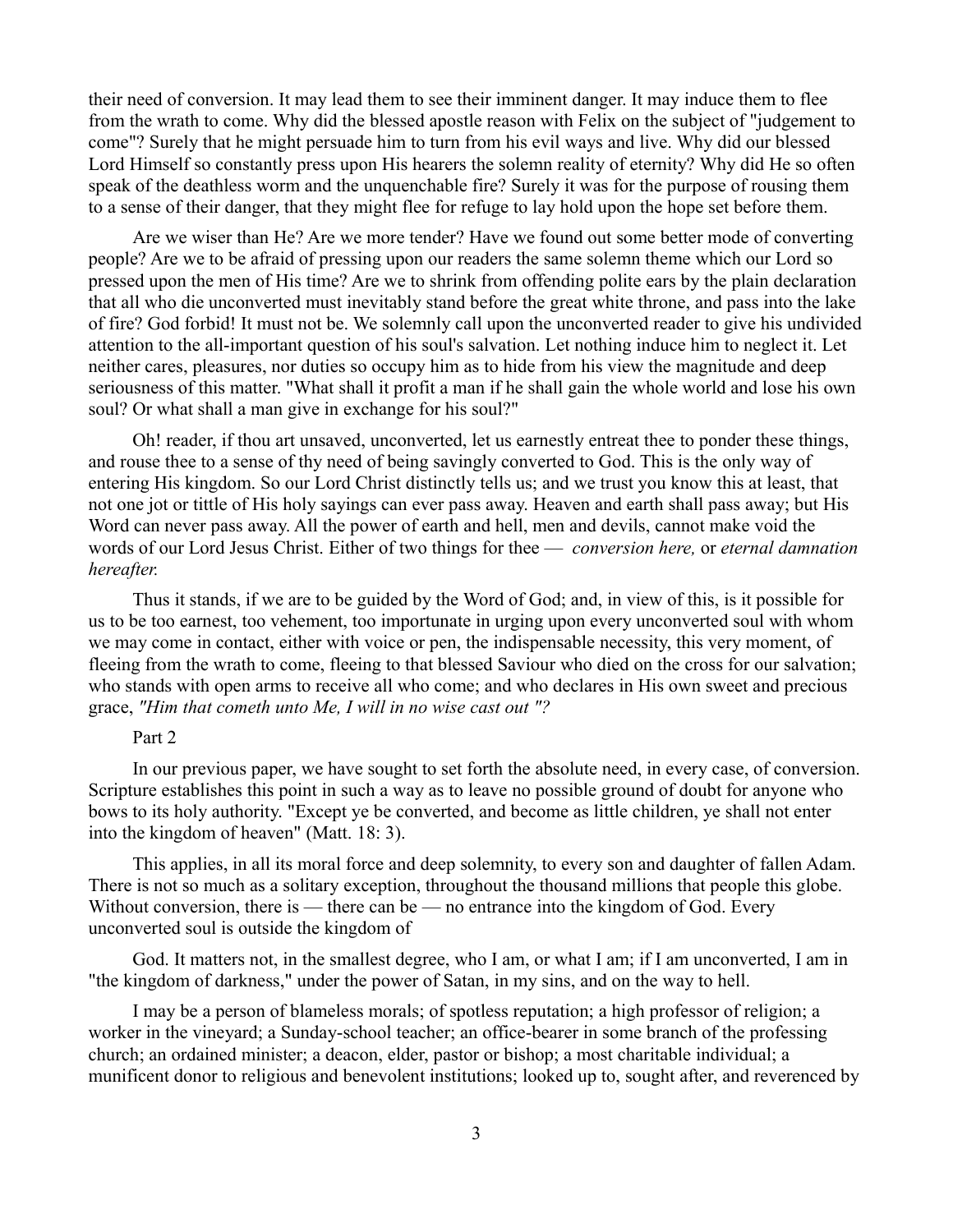their need of conversion. It may lead them to see their imminent danger. It may induce them to flee from the wrath to come. Why did the blessed apostle reason with Felix on the subject of "judgement to come"? Surely that he might persuade him to turn from his evil ways and live. Why did our blessed Lord Himself so constantly press upon His hearers the solemn reality of eternity? Why did He so often speak of the deathless worm and the unquenchable fire? Surely it was for the purpose of rousing them to a sense of their danger, that they might flee for refuge to lay hold upon the hope set before them.

Are we wiser than He? Are we more tender? Have we found out some better mode of converting people? Are we to be afraid of pressing upon our readers the same solemn theme which our Lord so pressed upon the men of His time? Are we to shrink from offending polite ears by the plain declaration that all who die unconverted must inevitably stand before the great white throne, and pass into the lake of fire? God forbid! It must not be. We solemnly call upon the unconverted reader to give his undivided attention to the all-important question of his soul's salvation. Let nothing induce him to neglect it. Let neither cares, pleasures, nor duties so occupy him as to hide from his view the magnitude and deep seriousness of this matter. "What shall it profit a man if he shall gain the whole world and lose his own soul? Or what shall a man give in exchange for his soul?"

Oh! reader, if thou art unsaved, unconverted, let us earnestly entreat thee to ponder these things, and rouse thee to a sense of thy need of being savingly converted to God. This is the only way of entering His kingdom. So our Lord Christ distinctly tells us; and we trust you know this at least, that not one jot or tittle of His holy sayings can ever pass away. Heaven and earth shall pass away; but His Word can never pass away. All the power of earth and hell, men and devils, cannot make void the words of our Lord Jesus Christ. Either of two things for thee — *conversion here,* or *eternal damnation hereafter.*

Thus it stands, if we are to be guided by the Word of God; and, in view of this, is it possible for us to be too earnest, too vehement, too importunate in urging upon every unconverted soul with whom we may come in contact, either with voice or pen, the indispensable necessity, this very moment, of fleeing from the wrath to come, fleeing to that blessed Saviour who died on the cross for our salvation; who stands with open arms to receive all who come; and who declares in His own sweet and precious grace, *"Him that cometh unto Me, I will in no wise cast out "?*

### Part 2

In our previous paper, we have sought to set forth the absolute need, in every case, of conversion. Scripture establishes this point in such a way as to leave no possible ground of doubt for anyone who bows to its holy authority. "Except ye be converted, and become as little children, ye shall not enter into the kingdom of heaven" (Matt. 18: 3).

This applies, in all its moral force and deep solemnity, to every son and daughter of fallen Adam. There is not so much as a solitary exception, throughout the thousand millions that people this globe. Without conversion, there is — there can be — no entrance into the kingdom of God. Every unconverted soul is outside the kingdom of

God. It matters not, in the smallest degree, who I am, or what I am; if I am unconverted, I am in "the kingdom of darkness," under the power of Satan, in my sins, and on the way to hell.

I may be a person of blameless morals; of spotless reputation; a high professor of religion; a worker in the vineyard; a Sunday-school teacher; an office-bearer in some branch of the professing church; an ordained minister; a deacon, elder, pastor or bishop; a most charitable individual; a munificent donor to religious and benevolent institutions; looked up to, sought after, and reverenced by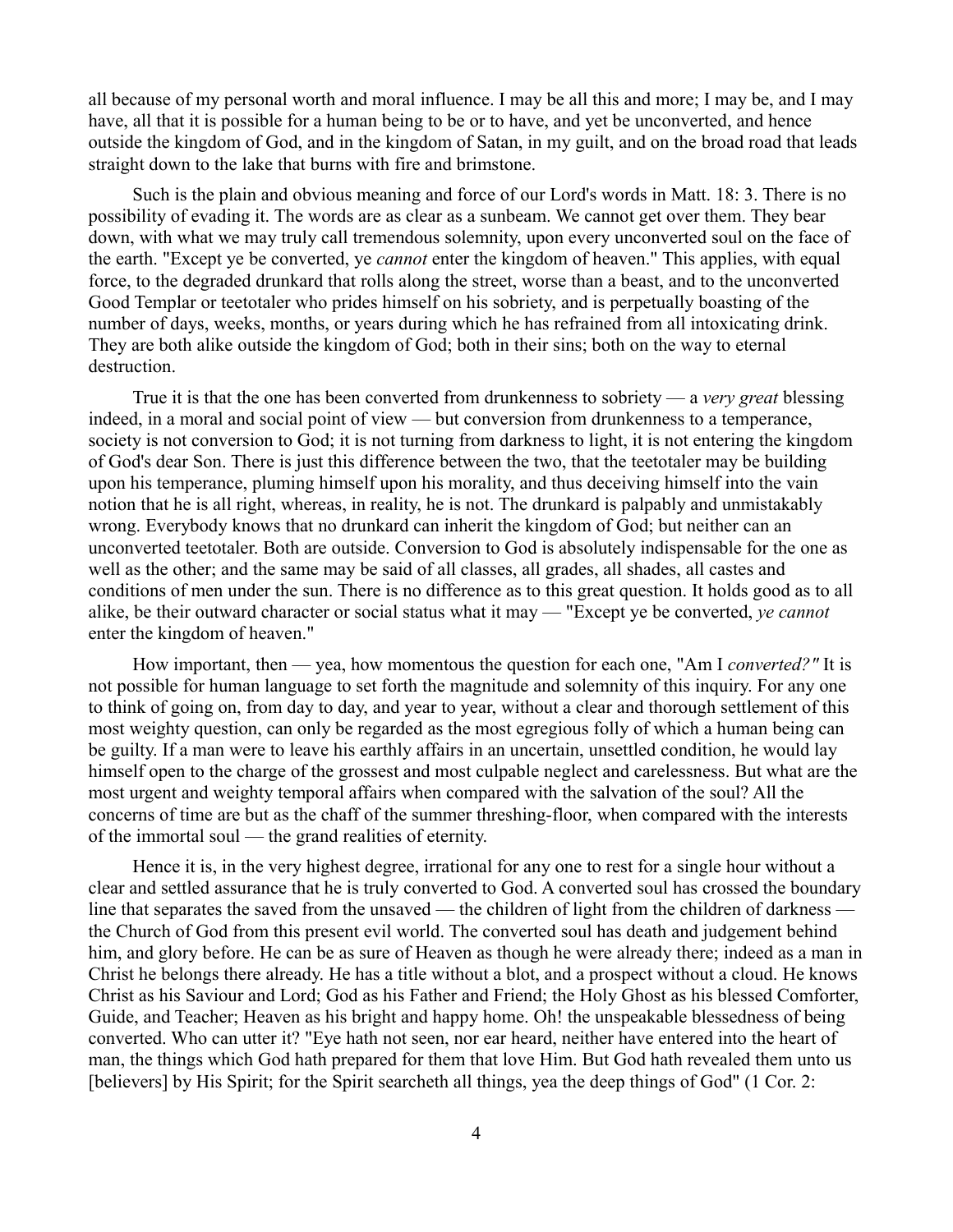all because of my personal worth and moral influence. I may be all this and more; I may be, and I may have, all that it is possible for a human being to be or to have, and yet be unconverted, and hence outside the kingdom of God, and in the kingdom of Satan, in my guilt, and on the broad road that leads straight down to the lake that burns with fire and brimstone.

Such is the plain and obvious meaning and force of our Lord's words in Matt. 18: 3. There is no possibility of evading it. The words are as clear as a sunbeam. We cannot get over them. They bear down, with what we may truly call tremendous solemnity, upon every unconverted soul on the face of the earth. "Except ye be converted, ye *cannot* enter the kingdom of heaven." This applies, with equal force, to the degraded drunkard that rolls along the street, worse than a beast, and to the unconverted Good Templar or teetotaler who prides himself on his sobriety, and is perpetually boasting of the number of days, weeks, months, or years during which he has refrained from all intoxicating drink. They are both alike outside the kingdom of God; both in their sins; both on the way to eternal destruction.

True it is that the one has been converted from drunkenness to sobriety — a *very great* blessing indeed, in a moral and social point of view — but conversion from drunkenness to a temperance, society is not conversion to God; it is not turning from darkness to light, it is not entering the kingdom of God's dear Son. There is just this difference between the two, that the teetotaler may be building upon his temperance, pluming himself upon his morality, and thus deceiving himself into the vain notion that he is all right, whereas, in reality, he is not. The drunkard is palpably and unmistakably wrong. Everybody knows that no drunkard can inherit the kingdom of God; but neither can an unconverted teetotaler. Both are outside. Conversion to God is absolutely indispensable for the one as well as the other; and the same may be said of all classes, all grades, all shades, all castes and conditions of men under the sun. There is no difference as to this great question. It holds good as to all alike, be their outward character or social status what it may — "Except ye be converted, *ye cannot* enter the kingdom of heaven."

How important, then — yea, how momentous the question for each one, "Am I *converted?"* It is not possible for human language to set forth the magnitude and solemnity of this inquiry. For any one to think of going on, from day to day, and year to year, without a clear and thorough settlement of this most weighty question, can only be regarded as the most egregious folly of which a human being can be guilty. If a man were to leave his earthly affairs in an uncertain, unsettled condition, he would lay himself open to the charge of the grossest and most culpable neglect and carelessness. But what are the most urgent and weighty temporal affairs when compared with the salvation of the soul? All the concerns of time are but as the chaff of the summer threshing-floor, when compared with the interests of the immortal soul — the grand realities of eternity.

Hence it is, in the very highest degree, irrational for any one to rest for a single hour without a clear and settled assurance that he is truly converted to God. A converted soul has crossed the boundary line that separates the saved from the unsaved — the children of light from the children of darkness the Church of God from this present evil world. The converted soul has death and judgement behind him, and glory before. He can be as sure of Heaven as though he were already there; indeed as a man in Christ he belongs there already. He has a title without a blot, and a prospect without a cloud. He knows Christ as his Saviour and Lord; God as his Father and Friend; the Holy Ghost as his blessed Comforter, Guide, and Teacher; Heaven as his bright and happy home. Oh! the unspeakable blessedness of being converted. Who can utter it? "Eye hath not seen, nor ear heard, neither have entered into the heart of man, the things which God hath prepared for them that love Him. But God hath revealed them unto us [believers] by His Spirit; for the Spirit searcheth all things, yea the deep things of God" (1 Cor. 2: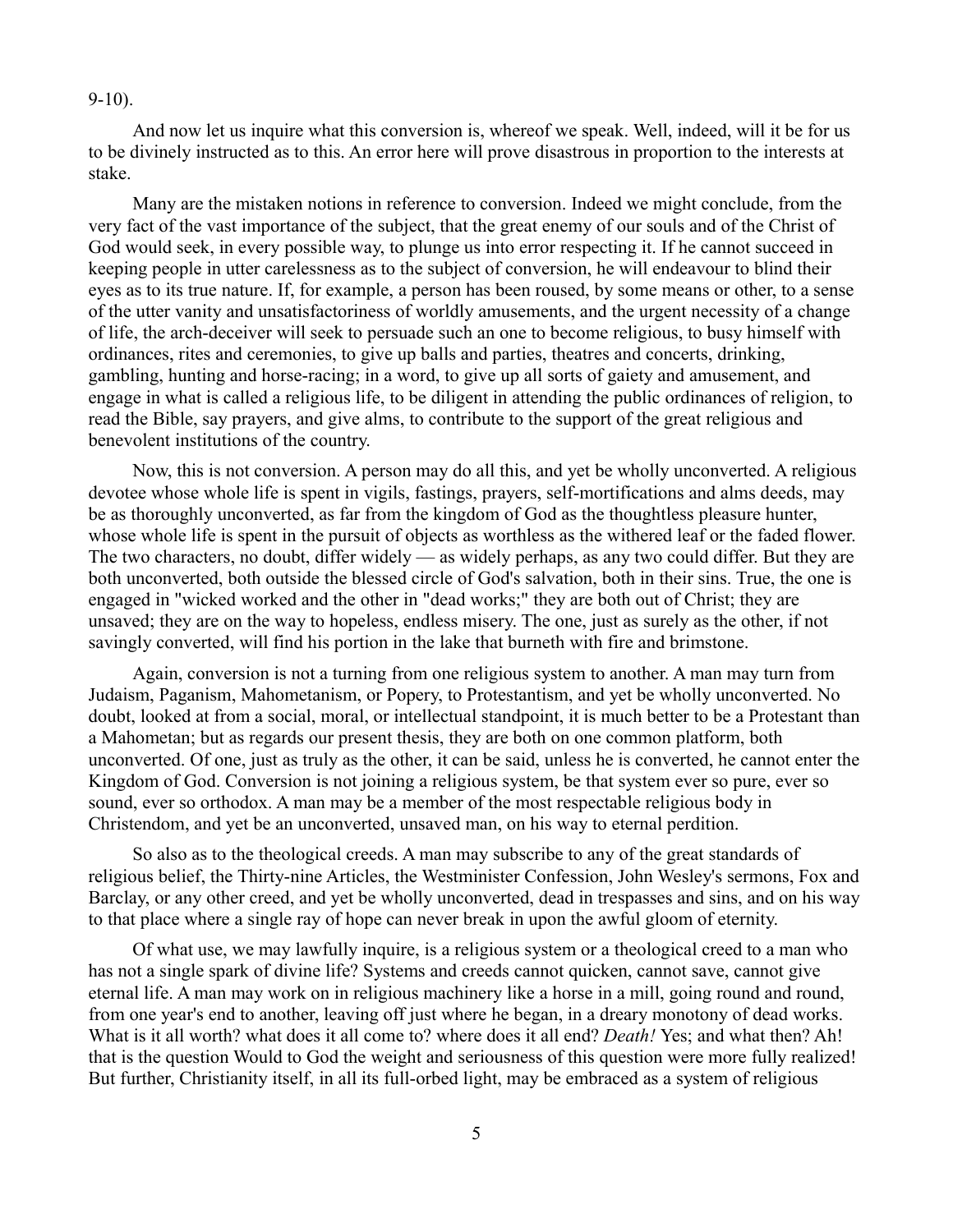#### 9-10).

And now let us inquire what this conversion is, whereof we speak. Well, indeed, will it be for us to be divinely instructed as to this. An error here will prove disastrous in proportion to the interests at stake.

Many are the mistaken notions in reference to conversion. Indeed we might conclude, from the very fact of the vast importance of the subject, that the great enemy of our souls and of the Christ of God would seek, in every possible way, to plunge us into error respecting it. If he cannot succeed in keeping people in utter carelessness as to the subject of conversion, he will endeavour to blind their eyes as to its true nature. If, for example, a person has been roused, by some means or other, to a sense of the utter vanity and unsatisfactoriness of worldly amusements, and the urgent necessity of a change of life, the arch-deceiver will seek to persuade such an one to become religious, to busy himself with ordinances, rites and ceremonies, to give up balls and parties, theatres and concerts, drinking, gambling, hunting and horse-racing; in a word, to give up all sorts of gaiety and amusement, and engage in what is called a religious life, to be diligent in attending the public ordinances of religion, to read the Bible, say prayers, and give alms, to contribute to the support of the great religious and benevolent institutions of the country.

Now, this is not conversion. A person may do all this, and yet be wholly unconverted. A religious devotee whose whole life is spent in vigils, fastings, prayers, self-mortifications and alms deeds, may be as thoroughly unconverted, as far from the kingdom of God as the thoughtless pleasure hunter, whose whole life is spent in the pursuit of objects as worthless as the withered leaf or the faded flower. The two characters, no doubt, differ widely — as widely perhaps, as any two could differ. But they are both unconverted, both outside the blessed circle of God's salvation, both in their sins. True, the one is engaged in "wicked worked and the other in "dead works;" they are both out of Christ; they are unsaved; they are on the way to hopeless, endless misery. The one, just as surely as the other, if not savingly converted, will find his portion in the lake that burneth with fire and brimstone.

Again, conversion is not a turning from one religious system to another. A man may turn from Judaism, Paganism, Mahometanism, or Popery, to Protestantism, and yet be wholly unconverted. No doubt, looked at from a social, moral, or intellectual standpoint, it is much better to be a Protestant than a Mahometan; but as regards our present thesis, they are both on one common platform, both unconverted. Of one, just as truly as the other, it can be said, unless he is converted, he cannot enter the Kingdom of God. Conversion is not joining a religious system, be that system ever so pure, ever so sound, ever so orthodox. A man may be a member of the most respectable religious body in Christendom, and yet be an unconverted, unsaved man, on his way to eternal perdition.

So also as to the theological creeds. A man may subscribe to any of the great standards of religious belief, the Thirty-nine Articles, the Westminister Confession, John Wesley's sermons, Fox and Barclay, or any other creed, and yet be wholly unconverted, dead in trespasses and sins, and on his way to that place where a single ray of hope can never break in upon the awful gloom of eternity.

Of what use, we may lawfully inquire, is a religious system or a theological creed to a man who has not a single spark of divine life? Systems and creeds cannot quicken, cannot save, cannot give eternal life. A man may work on in religious machinery like a horse in a mill, going round and round, from one year's end to another, leaving off just where he began, in a dreary monotony of dead works. What is it all worth? what does it all come to? where does it all end? *Death!* Yes; and what then? Ah! that is the question Would to God the weight and seriousness of this question were more fully realized! But further, Christianity itself, in all its full-orbed light, may be embraced as a system of religious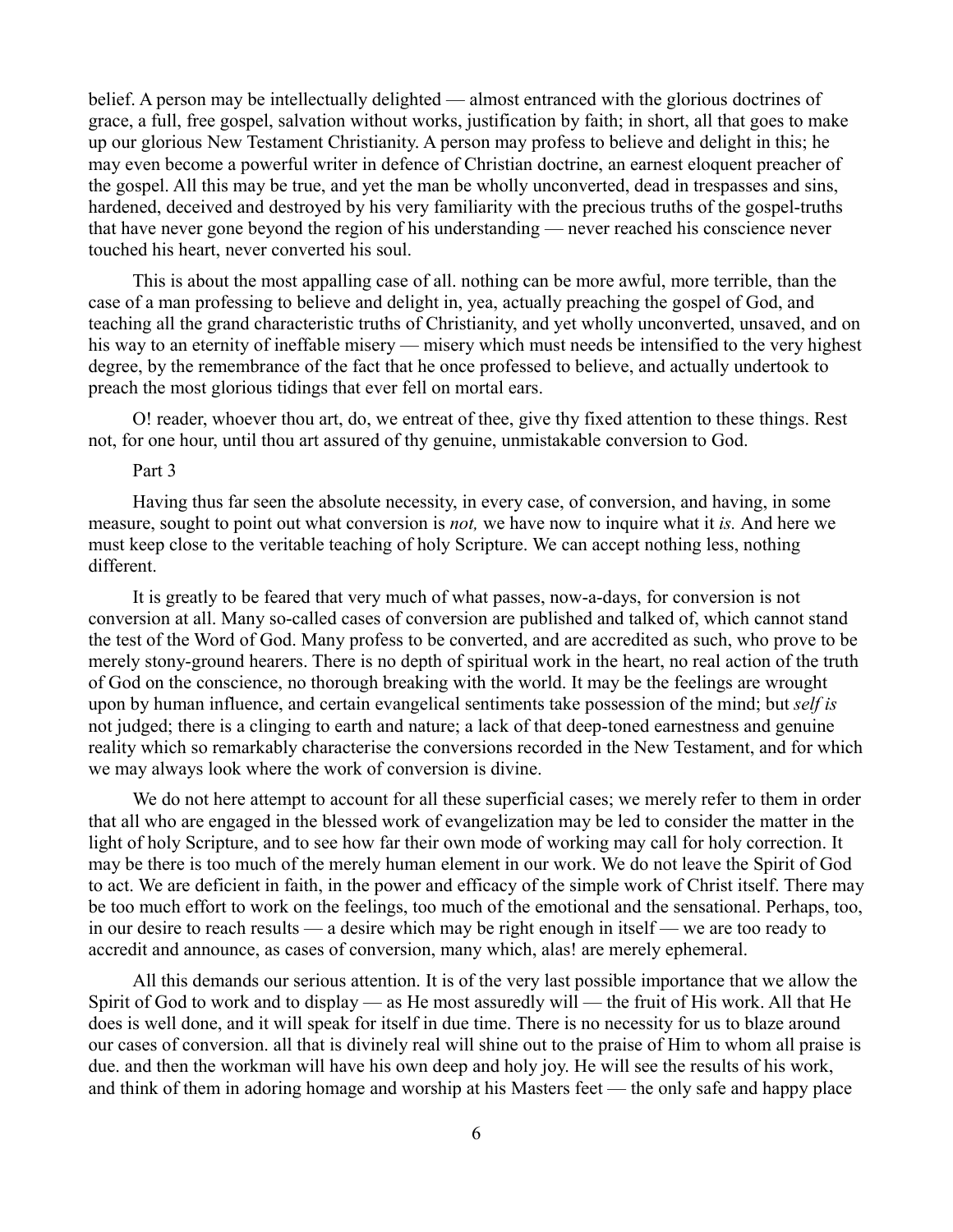belief. A person may be intellectually delighted — almost entranced with the glorious doctrines of grace, a full, free gospel, salvation without works, justification by faith; in short, all that goes to make up our glorious New Testament Christianity. A person may profess to believe and delight in this; he may even become a powerful writer in defence of Christian doctrine, an earnest eloquent preacher of the gospel. All this may be true, and yet the man be wholly unconverted, dead in trespasses and sins, hardened, deceived and destroyed by his very familiarity with the precious truths of the gospel-truths that have never gone beyond the region of his understanding — never reached his conscience never touched his heart, never converted his soul.

This is about the most appalling case of all. nothing can be more awful, more terrible, than the case of a man professing to believe and delight in, yea, actually preaching the gospel of God, and teaching all the grand characteristic truths of Christianity, and yet wholly unconverted, unsaved, and on his way to an eternity of ineffable misery — misery which must needs be intensified to the very highest degree, by the remembrance of the fact that he once professed to believe, and actually undertook to preach the most glorious tidings that ever fell on mortal ears.

O! reader, whoever thou art, do, we entreat of thee, give thy fixed attention to these things. Rest not, for one hour, until thou art assured of thy genuine, unmistakable conversion to God.

# Part 3

Having thus far seen the absolute necessity, in every case, of conversion, and having, in some measure, sought to point out what conversion is *not,* we have now to inquire what it *is.* And here we must keep close to the veritable teaching of holy Scripture. We can accept nothing less, nothing different.

It is greatly to be feared that very much of what passes, now-a-days, for conversion is not conversion at all. Many so-called cases of conversion are published and talked of, which cannot stand the test of the Word of God. Many profess to be converted, and are accredited as such, who prove to be merely stony-ground hearers. There is no depth of spiritual work in the heart, no real action of the truth of God on the conscience, no thorough breaking with the world. It may be the feelings are wrought upon by human influence, and certain evangelical sentiments take possession of the mind; but *self is* not judged; there is a clinging to earth and nature; a lack of that deep-toned earnestness and genuine reality which so remarkably characterise the conversions recorded in the New Testament, and for which we may always look where the work of conversion is divine.

We do not here attempt to account for all these superficial cases; we merely refer to them in order that all who are engaged in the blessed work of evangelization may be led to consider the matter in the light of holy Scripture, and to see how far their own mode of working may call for holy correction. It may be there is too much of the merely human element in our work. We do not leave the Spirit of God to act. We are deficient in faith, in the power and efficacy of the simple work of Christ itself. There may be too much effort to work on the feelings, too much of the emotional and the sensational. Perhaps, too, in our desire to reach results — a desire which may be right enough in itself — we are too ready to accredit and announce, as cases of conversion, many which, alas! are merely ephemeral.

All this demands our serious attention. It is of the very last possible importance that we allow the Spirit of God to work and to display — as He most assuredly will — the fruit of His work. All that He does is well done, and it will speak for itself in due time. There is no necessity for us to blaze around our cases of conversion. all that is divinely real will shine out to the praise of Him to whom all praise is due. and then the workman will have his own deep and holy joy. He will see the results of his work, and think of them in adoring homage and worship at his Masters feet — the only safe and happy place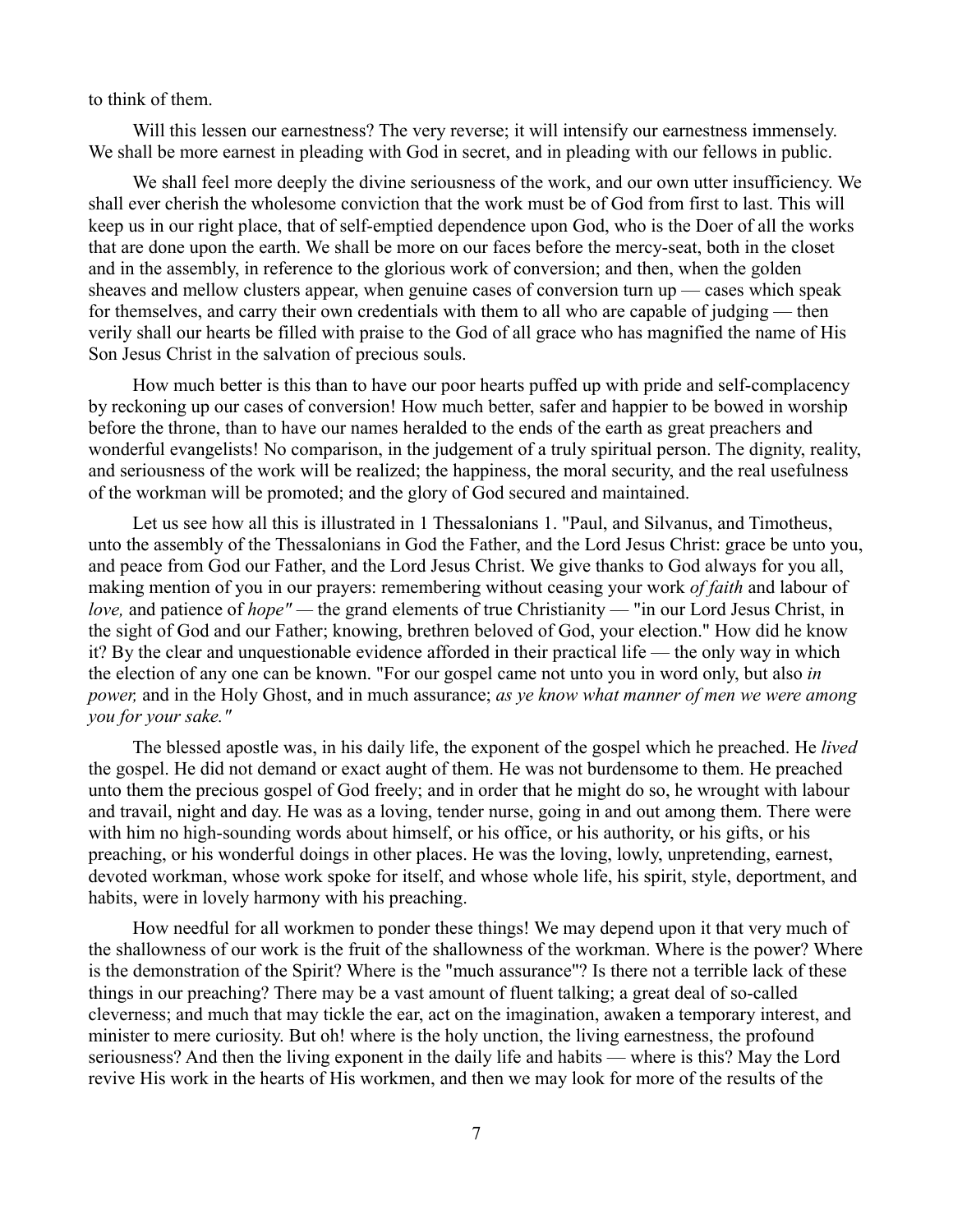to think of them.

Will this lessen our earnestness? The very reverse; it will intensify our earnestness immensely. We shall be more earnest in pleading with God in secret, and in pleading with our fellows in public.

We shall feel more deeply the divine seriousness of the work, and our own utter insufficiency. We shall ever cherish the wholesome conviction that the work must be of God from first to last. This will keep us in our right place, that of self-emptied dependence upon God, who is the Doer of all the works that are done upon the earth. We shall be more on our faces before the mercy-seat, both in the closet and in the assembly, in reference to the glorious work of conversion; and then, when the golden sheaves and mellow clusters appear, when genuine cases of conversion turn up — cases which speak for themselves, and carry their own credentials with them to all who are capable of judging — then verily shall our hearts be filled with praise to the God of all grace who has magnified the name of His Son Jesus Christ in the salvation of precious souls.

How much better is this than to have our poor hearts puffed up with pride and self-complacency by reckoning up our cases of conversion! How much better, safer and happier to be bowed in worship before the throne, than to have our names heralded to the ends of the earth as great preachers and wonderful evangelists! No comparison, in the judgement of a truly spiritual person. The dignity, reality, and seriousness of the work will be realized; the happiness, the moral security, and the real usefulness of the workman will be promoted; and the glory of God secured and maintained.

Let us see how all this is illustrated in 1 Thessalonians 1. "Paul, and Silvanus, and Timotheus, unto the assembly of the Thessalonians in God the Father, and the Lord Jesus Christ: grace be unto you, and peace from God our Father, and the Lord Jesus Christ. We give thanks to God always for you all, making mention of you in our prayers: remembering without ceasing your work *of faith* and labour of *love*, and patience of *hope"* — the grand elements of true Christianity — "in our Lord Jesus Christ, in the sight of God and our Father; knowing, brethren beloved of God, your election." How did he know it? By the clear and unquestionable evidence afforded in their practical life — the only way in which the election of any one can be known. "For our gospel came not unto you in word only, but also *in power,* and in the Holy Ghost, and in much assurance; *as ye know what manner of men we were among you for your sake."*

The blessed apostle was, in his daily life, the exponent of the gospel which he preached. He *lived* the gospel. He did not demand or exact aught of them. He was not burdensome to them. He preached unto them the precious gospel of God freely; and in order that he might do so, he wrought with labour and travail, night and day. He was as a loving, tender nurse, going in and out among them. There were with him no high-sounding words about himself, or his office, or his authority, or his gifts, or his preaching, or his wonderful doings in other places. He was the loving, lowly, unpretending, earnest, devoted workman, whose work spoke for itself, and whose whole life, his spirit, style, deportment, and habits, were in lovely harmony with his preaching.

How needful for all workmen to ponder these things! We may depend upon it that very much of the shallowness of our work is the fruit of the shallowness of the workman. Where is the power? Where is the demonstration of the Spirit? Where is the "much assurance"? Is there not a terrible lack of these things in our preaching? There may be a vast amount of fluent talking; a great deal of so-called cleverness; and much that may tickle the ear, act on the imagination, awaken a temporary interest, and minister to mere curiosity. But oh! where is the holy unction, the living earnestness, the profound seriousness? And then the living exponent in the daily life and habits — where is this? May the Lord revive His work in the hearts of His workmen, and then we may look for more of the results of the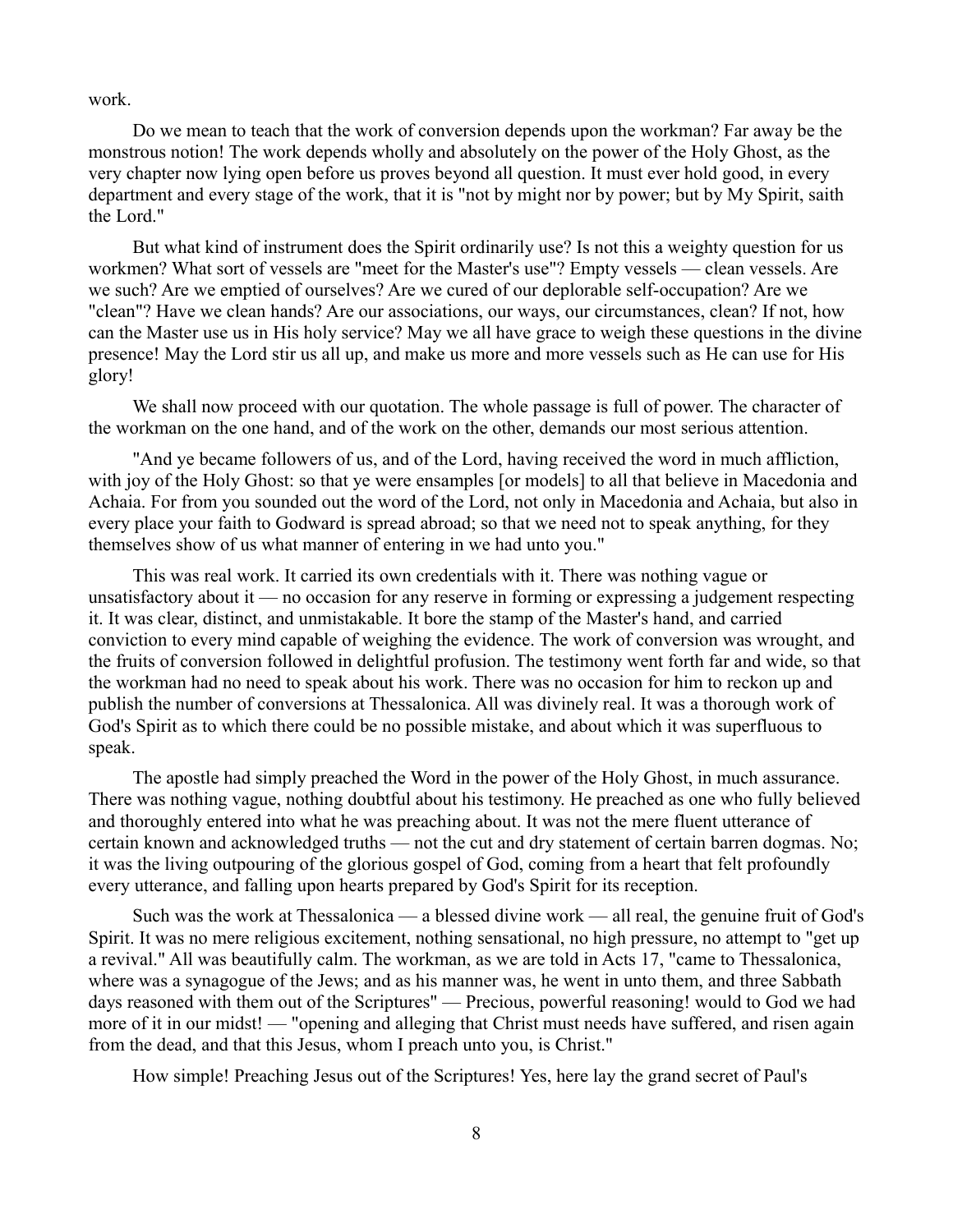work.

Do we mean to teach that the work of conversion depends upon the workman? Far away be the monstrous notion! The work depends wholly and absolutely on the power of the Holy Ghost, as the very chapter now lying open before us proves beyond all question. It must ever hold good, in every department and every stage of the work, that it is "not by might nor by power; but by My Spirit, saith the Lord."

But what kind of instrument does the Spirit ordinarily use? Is not this a weighty question for us workmen? What sort of vessels are "meet for the Master's use"? Empty vessels — clean vessels. Are we such? Are we emptied of ourselves? Are we cured of our deplorable self-occupation? Are we "clean"? Have we clean hands? Are our associations, our ways, our circumstances, clean? If not, how can the Master use us in His holy service? May we all have grace to weigh these questions in the divine presence! May the Lord stir us all up, and make us more and more vessels such as He can use for His glory!

We shall now proceed with our quotation. The whole passage is full of power. The character of the workman on the one hand, and of the work on the other, demands our most serious attention.

"And ye became followers of us, and of the Lord, having received the word in much affliction, with joy of the Holy Ghost: so that ye were ensamples [or models] to all that believe in Macedonia and Achaia. For from you sounded out the word of the Lord, not only in Macedonia and Achaia, but also in every place your faith to Godward is spread abroad; so that we need not to speak anything, for they themselves show of us what manner of entering in we had unto you."

This was real work. It carried its own credentials with it. There was nothing vague or unsatisfactory about it — no occasion for any reserve in forming or expressing a judgement respecting it. It was clear, distinct, and unmistakable. It bore the stamp of the Master's hand, and carried conviction to every mind capable of weighing the evidence. The work of conversion was wrought, and the fruits of conversion followed in delightful profusion. The testimony went forth far and wide, so that the workman had no need to speak about his work. There was no occasion for him to reckon up and publish the number of conversions at Thessalonica. All was divinely real. It was a thorough work of God's Spirit as to which there could be no possible mistake, and about which it was superfluous to speak.

The apostle had simply preached the Word in the power of the Holy Ghost, in much assurance. There was nothing vague, nothing doubtful about his testimony. He preached as one who fully believed and thoroughly entered into what he was preaching about. It was not the mere fluent utterance of certain known and acknowledged truths — not the cut and dry statement of certain barren dogmas. No; it was the living outpouring of the glorious gospel of God, coming from a heart that felt profoundly every utterance, and falling upon hearts prepared by God's Spirit for its reception.

Such was the work at Thessalonica — a blessed divine work — all real, the genuine fruit of God's Spirit. It was no mere religious excitement, nothing sensational, no high pressure, no attempt to "get up a revival." All was beautifully calm. The workman, as we are told in Acts 17, "came to Thessalonica, where was a synagogue of the Jews; and as his manner was, he went in unto them, and three Sabbath days reasoned with them out of the Scriptures" — Precious, powerful reasoning! would to God we had more of it in our midst! — "opening and alleging that Christ must needs have suffered, and risen again from the dead, and that this Jesus, whom I preach unto you, is Christ."

How simple! Preaching Jesus out of the Scriptures! Yes, here lay the grand secret of Paul's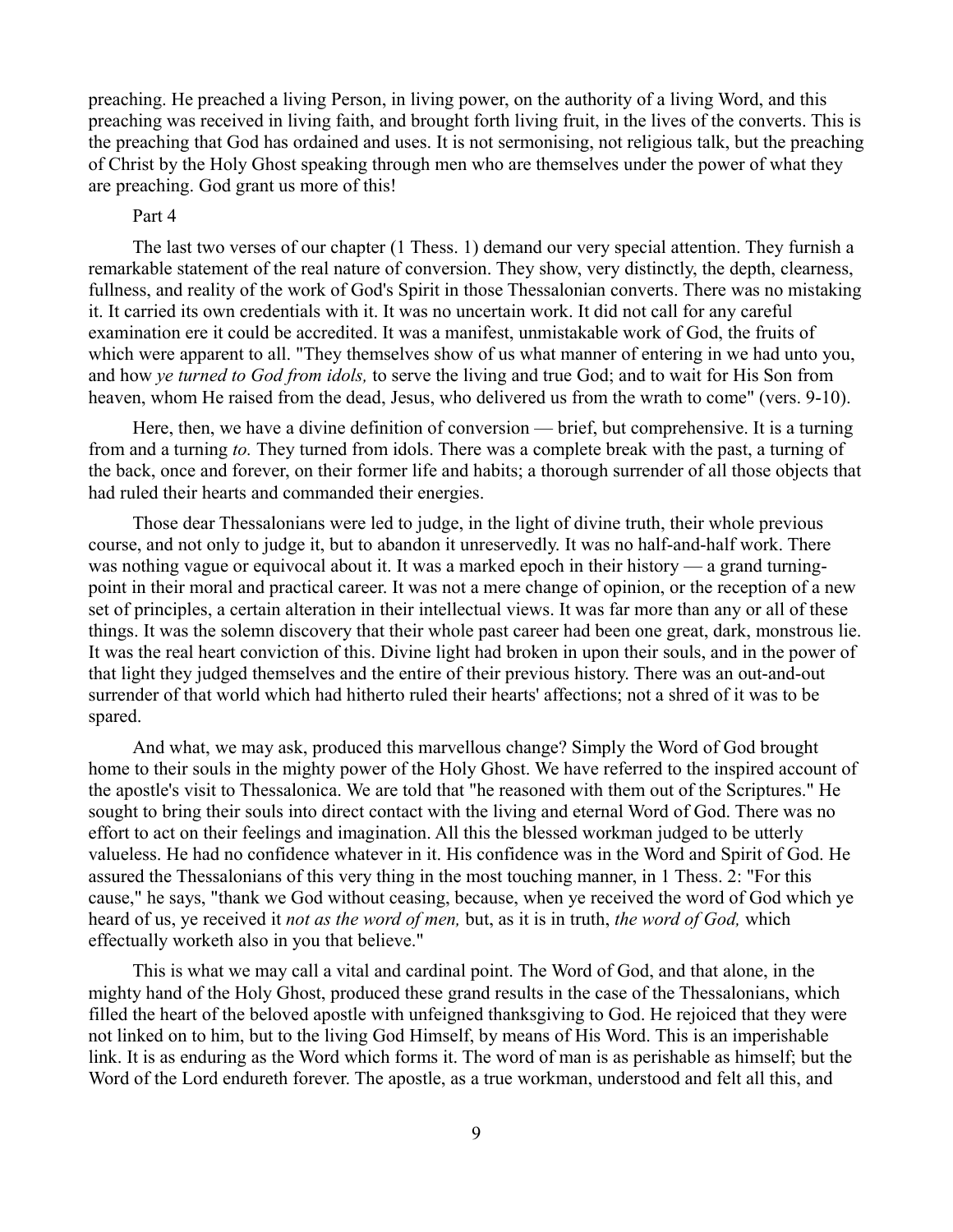preaching. He preached a living Person, in living power, on the authority of a living Word, and this preaching was received in living faith, and brought forth living fruit, in the lives of the converts. This is the preaching that God has ordained and uses. It is not sermonising, not religious talk, but the preaching of Christ by the Holy Ghost speaking through men who are themselves under the power of what they are preaching. God grant us more of this!

# Part 4

The last two verses of our chapter (1 Thess. 1) demand our very special attention. They furnish a remarkable statement of the real nature of conversion. They show, very distinctly, the depth, clearness, fullness, and reality of the work of God's Spirit in those Thessalonian converts. There was no mistaking it. It carried its own credentials with it. It was no uncertain work. It did not call for any careful examination ere it could be accredited. It was a manifest, unmistakable work of God, the fruits of which were apparent to all. "They themselves show of us what manner of entering in we had unto you, and how *ye turned to God from idols,* to serve the living and true God; and to wait for His Son from heaven, whom He raised from the dead, Jesus, who delivered us from the wrath to come" (vers. 9-10).

Here, then, we have a divine definition of conversion — brief, but comprehensive. It is a turning from and a turning *to.* They turned from idols. There was a complete break with the past, a turning of the back, once and forever, on their former life and habits; a thorough surrender of all those objects that had ruled their hearts and commanded their energies.

Those dear Thessalonians were led to judge, in the light of divine truth, their whole previous course, and not only to judge it, but to abandon it unreservedly. It was no half-and-half work. There was nothing vague or equivocal about it. It was a marked epoch in their history — a grand turningpoint in their moral and practical career. It was not a mere change of opinion, or the reception of a new set of principles, a certain alteration in their intellectual views. It was far more than any or all of these things. It was the solemn discovery that their whole past career had been one great, dark, monstrous lie. It was the real heart conviction of this. Divine light had broken in upon their souls, and in the power of that light they judged themselves and the entire of their previous history. There was an out-and-out surrender of that world which had hitherto ruled their hearts' affections; not a shred of it was to be spared.

And what, we may ask, produced this marvellous change? Simply the Word of God brought home to their souls in the mighty power of the Holy Ghost. We have referred to the inspired account of the apostle's visit to Thessalonica. We are told that "he reasoned with them out of the Scriptures." He sought to bring their souls into direct contact with the living and eternal Word of God. There was no effort to act on their feelings and imagination. All this the blessed workman judged to be utterly valueless. He had no confidence whatever in it. His confidence was in the Word and Spirit of God. He assured the Thessalonians of this very thing in the most touching manner, in 1 Thess. 2: "For this cause," he says, "thank we God without ceasing, because, when ye received the word of God which ye heard of us, ye received it *not as the word of men,* but, as it is in truth, *the word of God,* which effectually worketh also in you that believe."

This is what we may call a vital and cardinal point. The Word of God, and that alone, in the mighty hand of the Holy Ghost, produced these grand results in the case of the Thessalonians, which filled the heart of the beloved apostle with unfeigned thanksgiving to God. He rejoiced that they were not linked on to him, but to the living God Himself, by means of His Word. This is an imperishable link. It is as enduring as the Word which forms it. The word of man is as perishable as himself; but the Word of the Lord endureth forever. The apostle, as a true workman, understood and felt all this, and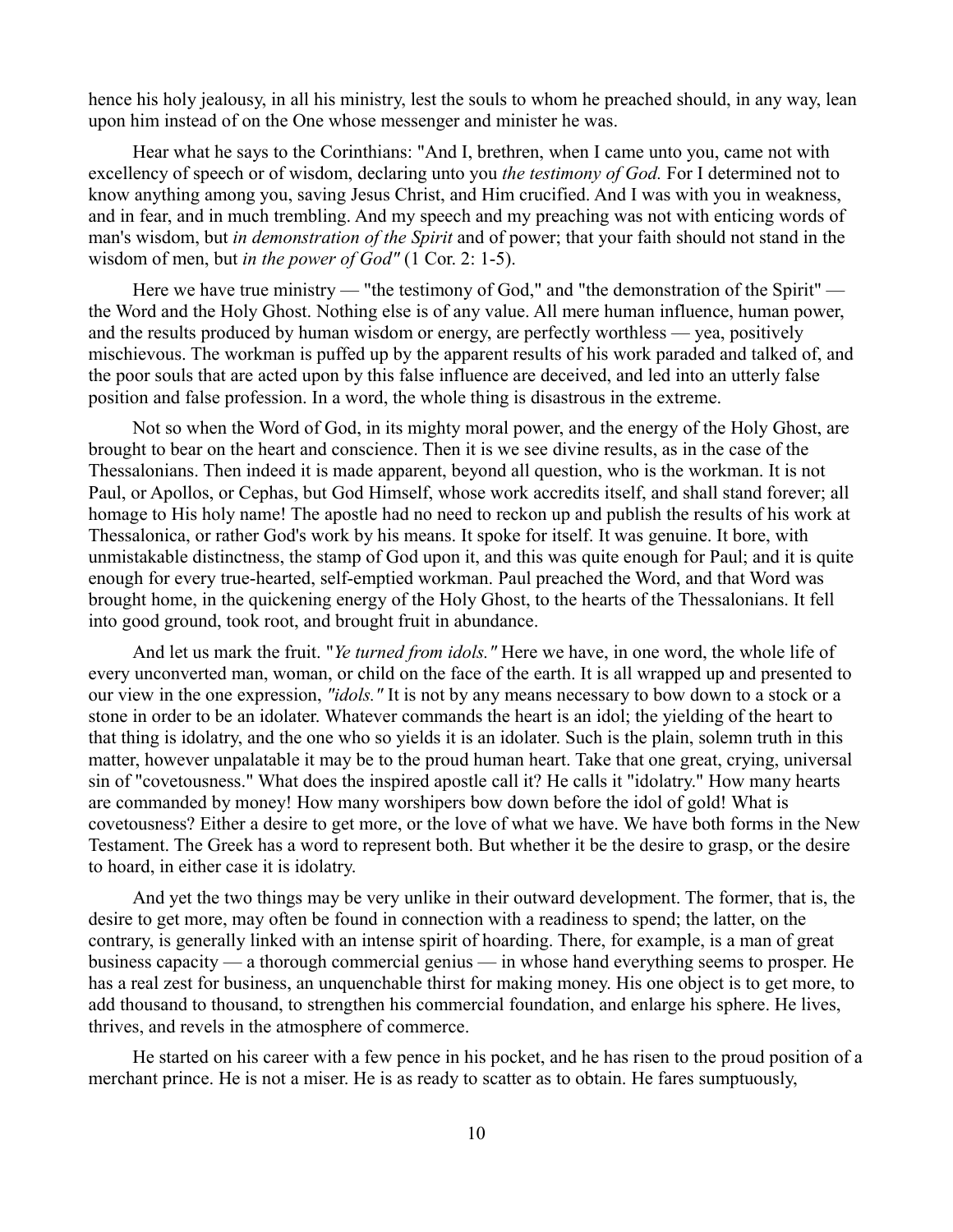hence his holy jealousy, in all his ministry, lest the souls to whom he preached should, in any way, lean upon him instead of on the One whose messenger and minister he was.

Hear what he says to the Corinthians: "And I, brethren, when I came unto you, came not with excellency of speech or of wisdom, declaring unto you *the testimony of God.* For I determined not to know anything among you, saving Jesus Christ, and Him crucified. And I was with you in weakness, and in fear, and in much trembling. And my speech and my preaching was not with enticing words of man's wisdom, but *in demonstration of the Spirit* and of power; that your faith should not stand in the wisdom of men, but *in the power of God"* (1 Cor. 2: 1-5).

Here we have true ministry — "the testimony of God," and "the demonstration of the Spirit" the Word and the Holy Ghost. Nothing else is of any value. All mere human influence, human power, and the results produced by human wisdom or energy, are perfectly worthless — yea, positively mischievous. The workman is puffed up by the apparent results of his work paraded and talked of, and the poor souls that are acted upon by this false influence are deceived, and led into an utterly false position and false profession. In a word, the whole thing is disastrous in the extreme.

Not so when the Word of God, in its mighty moral power, and the energy of the Holy Ghost, are brought to bear on the heart and conscience. Then it is we see divine results, as in the case of the Thessalonians. Then indeed it is made apparent, beyond all question, who is the workman. It is not Paul, or Apollos, or Cephas, but God Himself, whose work accredits itself, and shall stand forever; all homage to His holy name! The apostle had no need to reckon up and publish the results of his work at Thessalonica, or rather God's work by his means. It spoke for itself. It was genuine. It bore, with unmistakable distinctness, the stamp of God upon it, and this was quite enough for Paul; and it is quite enough for every true-hearted, self-emptied workman. Paul preached the Word, and that Word was brought home, in the quickening energy of the Holy Ghost, to the hearts of the Thessalonians. It fell into good ground, took root, and brought fruit in abundance.

And let us mark the fruit. "*Ye turned from idols."* Here we have, in one word, the whole life of every unconverted man, woman, or child on the face of the earth. It is all wrapped up and presented to our view in the one expression, *"idols."* It is not by any means necessary to bow down to a stock or a stone in order to be an idolater. Whatever commands the heart is an idol; the yielding of the heart to that thing is idolatry, and the one who so yields it is an idolater. Such is the plain, solemn truth in this matter, however unpalatable it may be to the proud human heart. Take that one great, crying, universal sin of "covetousness." What does the inspired apostle call it? He calls it "idolatry." How many hearts are commanded by money! How many worshipers bow down before the idol of gold! What is covetousness? Either a desire to get more, or the love of what we have. We have both forms in the New Testament. The Greek has a word to represent both. But whether it be the desire to grasp, or the desire to hoard, in either case it is idolatry.

And yet the two things may be very unlike in their outward development. The former, that is, the desire to get more, may often be found in connection with a readiness to spend; the latter, on the contrary, is generally linked with an intense spirit of hoarding. There, for example, is a man of great business capacity — a thorough commercial genius — in whose hand everything seems to prosper. He has a real zest for business, an unquenchable thirst for making money. His one object is to get more, to add thousand to thousand, to strengthen his commercial foundation, and enlarge his sphere. He lives, thrives, and revels in the atmosphere of commerce.

He started on his career with a few pence in his pocket, and he has risen to the proud position of a merchant prince. He is not a miser. He is as ready to scatter as to obtain. He fares sumptuously,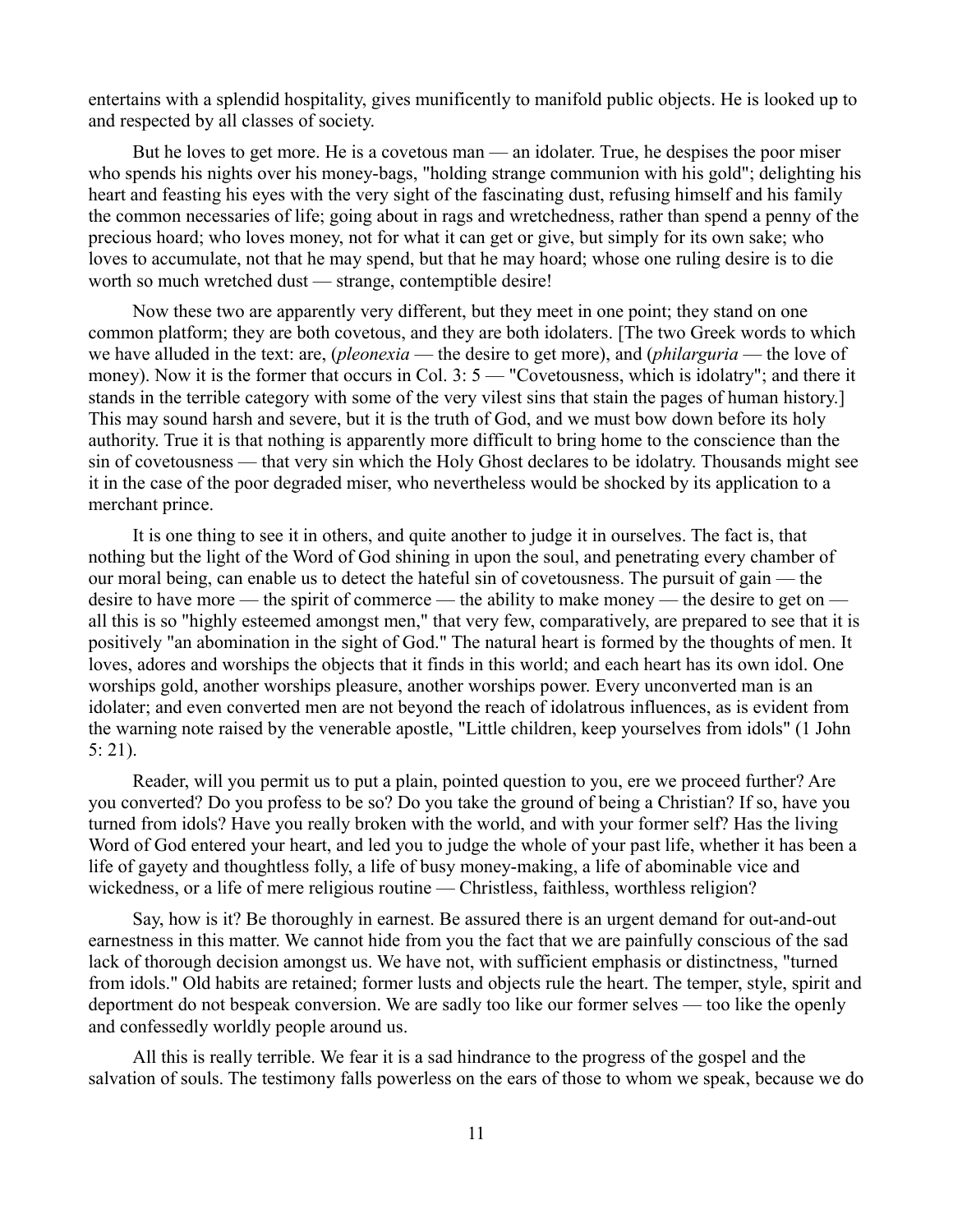entertains with a splendid hospitality, gives munificently to manifold public objects. He is looked up to and respected by all classes of society.

But he loves to get more. He is a covetous man — an idolater. True, he despises the poor miser who spends his nights over his money-bags, "holding strange communion with his gold"; delighting his heart and feasting his eyes with the very sight of the fascinating dust, refusing himself and his family the common necessaries of life; going about in rags and wretchedness, rather than spend a penny of the precious hoard; who loves money, not for what it can get or give, but simply for its own sake; who loves to accumulate, not that he may spend, but that he may hoard; whose one ruling desire is to die worth so much wretched dust — strange, contemptible desire!

Now these two are apparently very different, but they meet in one point; they stand on one common platform; they are both covetous, and they are both idolaters. [The two Greek words to which we have alluded in the text: are, (*pleonexia* — the desire to get more), and (*philarguria* — the love of money). Now it is the former that occurs in Col. 3: 5 — "Covetousness, which is idolatry"; and there it stands in the terrible category with some of the very vilest sins that stain the pages of human history.] This may sound harsh and severe, but it is the truth of God, and we must bow down before its holy authority. True it is that nothing is apparently more difficult to bring home to the conscience than the sin of covetousness — that very sin which the Holy Ghost declares to be idolatry. Thousands might see it in the case of the poor degraded miser, who nevertheless would be shocked by its application to a merchant prince.

It is one thing to see it in others, and quite another to judge it in ourselves. The fact is, that nothing but the light of the Word of God shining in upon the soul, and penetrating every chamber of our moral being, can enable us to detect the hateful sin of covetousness. The pursuit of gain — the desire to have more — the spirit of commerce — the ability to make money — the desire to get on all this is so "highly esteemed amongst men," that very few, comparatively, are prepared to see that it is positively "an abomination in the sight of God." The natural heart is formed by the thoughts of men. It loves, adores and worships the objects that it finds in this world; and each heart has its own idol. One worships gold, another worships pleasure, another worships power. Every unconverted man is an idolater; and even converted men are not beyond the reach of idolatrous influences, as is evident from the warning note raised by the venerable apostle, "Little children, keep yourselves from idols" (1 John 5: 21).

Reader, will you permit us to put a plain, pointed question to you, ere we proceed further? Are you converted? Do you profess to be so? Do you take the ground of being a Christian? If so, have you turned from idols? Have you really broken with the world, and with your former self? Has the living Word of God entered your heart, and led you to judge the whole of your past life, whether it has been a life of gayety and thoughtless folly, a life of busy money-making, a life of abominable vice and wickedness, or a life of mere religious routine — Christless, faithless, worthless religion?

Say, how is it? Be thoroughly in earnest. Be assured there is an urgent demand for out-and-out earnestness in this matter. We cannot hide from you the fact that we are painfully conscious of the sad lack of thorough decision amongst us. We have not, with sufficient emphasis or distinctness, "turned from idols." Old habits are retained; former lusts and objects rule the heart. The temper, style, spirit and deportment do not bespeak conversion. We are sadly too like our former selves — too like the openly and confessedly worldly people around us.

All this is really terrible. We fear it is a sad hindrance to the progress of the gospel and the salvation of souls. The testimony falls powerless on the ears of those to whom we speak, because we do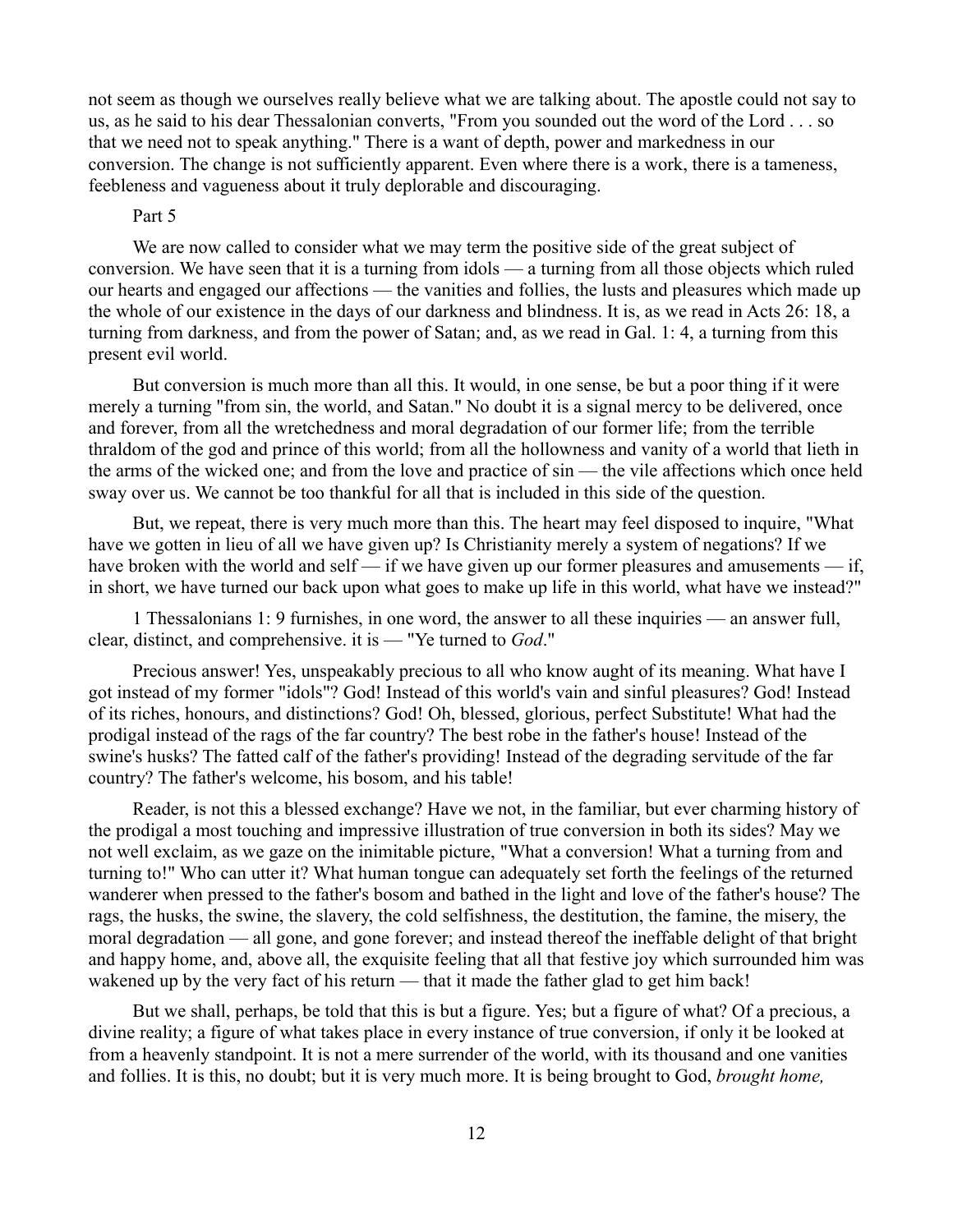not seem as though we ourselves really believe what we are talking about. The apostle could not say to us, as he said to his dear Thessalonian converts, "From you sounded out the word of the Lord . . . so that we need not to speak anything." There is a want of depth, power and markedness in our conversion. The change is not sufficiently apparent. Even where there is a work, there is a tameness, feebleness and vagueness about it truly deplorable and discouraging.

## Part 5

We are now called to consider what we may term the positive side of the great subject of conversion. We have seen that it is a turning from idols — a turning from all those objects which ruled our hearts and engaged our affections — the vanities and follies, the lusts and pleasures which made up the whole of our existence in the days of our darkness and blindness. It is, as we read in Acts 26: 18, a turning from darkness, and from the power of Satan; and, as we read in Gal. 1: 4, a turning from this present evil world.

But conversion is much more than all this. It would, in one sense, be but a poor thing if it were merely a turning "from sin, the world, and Satan." No doubt it is a signal mercy to be delivered, once and forever, from all the wretchedness and moral degradation of our former life; from the terrible thraldom of the god and prince of this world; from all the hollowness and vanity of a world that lieth in the arms of the wicked one; and from the love and practice of sin — the vile affections which once held sway over us. We cannot be too thankful for all that is included in this side of the question.

But, we repeat, there is very much more than this. The heart may feel disposed to inquire, "What have we gotten in lieu of all we have given up? Is Christianity merely a system of negations? If we have broken with the world and self — if we have given up our former pleasures and amusements — if, in short, we have turned our back upon what goes to make up life in this world, what have we instead?"

1 Thessalonians 1: 9 furnishes, in one word, the answer to all these inquiries — an answer full, clear, distinct, and comprehensive. it is — "Ye turned to *God*."

Precious answer! Yes, unspeakably precious to all who know aught of its meaning. What have I got instead of my former "idols"? God! Instead of this world's vain and sinful pleasures? God! Instead of its riches, honours, and distinctions? God! Oh, blessed, glorious, perfect Substitute! What had the prodigal instead of the rags of the far country? The best robe in the father's house! Instead of the swine's husks? The fatted calf of the father's providing! Instead of the degrading servitude of the far country? The father's welcome, his bosom, and his table!

Reader, is not this a blessed exchange? Have we not, in the familiar, but ever charming history of the prodigal a most touching and impressive illustration of true conversion in both its sides? May we not well exclaim, as we gaze on the inimitable picture, "What a conversion! What a turning from and turning to!" Who can utter it? What human tongue can adequately set forth the feelings of the returned wanderer when pressed to the father's bosom and bathed in the light and love of the father's house? The rags, the husks, the swine, the slavery, the cold selfishness, the destitution, the famine, the misery, the moral degradation — all gone, and gone forever; and instead thereof the ineffable delight of that bright and happy home, and, above all, the exquisite feeling that all that festive joy which surrounded him was wakened up by the very fact of his return — that it made the father glad to get him back!

But we shall, perhaps, be told that this is but a figure. Yes; but a figure of what? Of a precious, a divine reality; a figure of what takes place in every instance of true conversion, if only it be looked at from a heavenly standpoint. It is not a mere surrender of the world, with its thousand and one vanities and follies. It is this, no doubt; but it is very much more. It is being brought to God, *brought home,*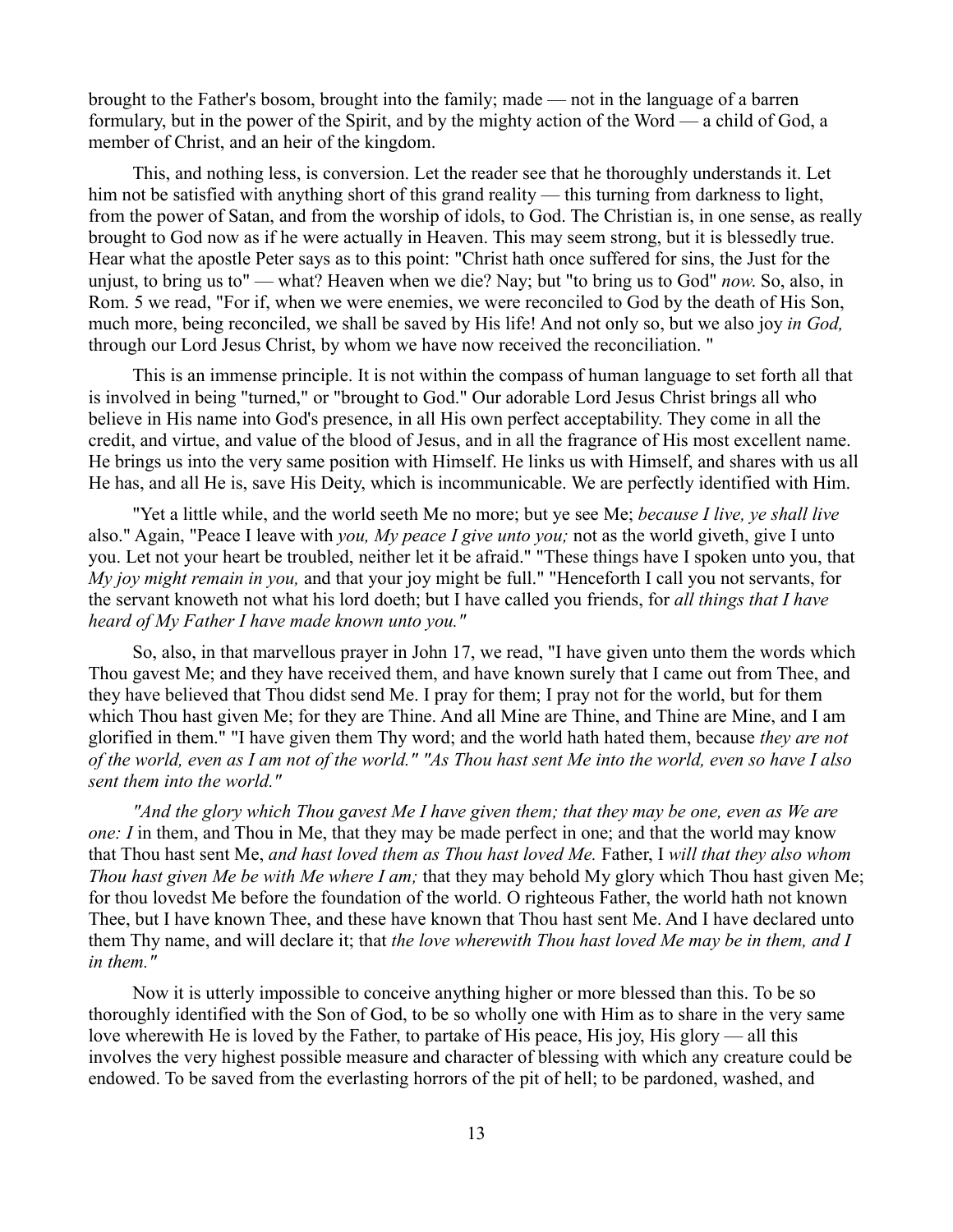brought to the Father's bosom, brought into the family; made — not in the language of a barren formulary, but in the power of the Spirit, and by the mighty action of the Word — a child of God, a member of Christ, and an heir of the kingdom.

This, and nothing less, is conversion. Let the reader see that he thoroughly understands it. Let him not be satisfied with anything short of this grand reality — this turning from darkness to light, from the power of Satan, and from the worship of idols, to God. The Christian is, in one sense, as really brought to God now as if he were actually in Heaven. This may seem strong, but it is blessedly true. Hear what the apostle Peter says as to this point: "Christ hath once suffered for sins, the Just for the unjust, to bring us to" — what? Heaven when we die? Nay; but "to bring us to God" *now*. So, also, in Rom. 5 we read, "For if, when we were enemies, we were reconciled to God by the death of His Son, much more, being reconciled, we shall be saved by His life! And not only so, but we also joy *in God,* through our Lord Jesus Christ, by whom we have now received the reconciliation. "

This is an immense principle. It is not within the compass of human language to set forth all that is involved in being "turned," or "brought to God." Our adorable Lord Jesus Christ brings all who believe in His name into God's presence, in all His own perfect acceptability. They come in all the credit, and virtue, and value of the blood of Jesus, and in all the fragrance of His most excellent name. He brings us into the very same position with Himself. He links us with Himself, and shares with us all He has, and all He is, save His Deity, which is incommunicable. We are perfectly identified with Him.

"Yet a little while, and the world seeth Me no more; but ye see Me; *because I live, ye shall live* also." Again, "Peace I leave with *you, My peace I give unto you;* not as the world giveth, give I unto you. Let not your heart be troubled, neither let it be afraid." "These things have I spoken unto you, that *My joy might remain in you,* and that your joy might be full." "Henceforth I call you not servants, for the servant knoweth not what his lord doeth; but I have called you friends, for *all things that I have heard of My Father I have made known unto you."*

So, also, in that marvellous prayer in John 17, we read, "I have given unto them the words which Thou gavest Me; and they have received them, and have known surely that I came out from Thee, and they have believed that Thou didst send Me. I pray for them; I pray not for the world, but for them which Thou hast given Me; for they are Thine. And all Mine are Thine, and Thine are Mine, and I am glorified in them." "I have given them Thy word; and the world hath hated them, because *they are not of the world, even as I am not of the world." "As Thou hast sent Me into the world, even so have I also sent them into the world."* 

*"And the glory which Thou gavest Me I have given them; that they may be one, even as We are one: I* in them, and Thou in Me, that they may be made perfect in one; and that the world may know that Thou hast sent Me, *and hast loved them as Thou hast loved Me.* Father, I *will that they also whom Thou hast given Me be with Me where I am;* that they may behold My glory which Thou hast given Me; for thou lovedst Me before the foundation of the world. O righteous Father, the world hath not known Thee, but I have known Thee, and these have known that Thou hast sent Me. And I have declared unto them Thy name, and will declare it; that *the love wherewith Thou hast loved Me may be in them, and I in them."*

Now it is utterly impossible to conceive anything higher or more blessed than this. To be so thoroughly identified with the Son of God, to be so wholly one with Him as to share in the very same love wherewith He is loved by the Father, to partake of His peace, His joy, His glory — all this involves the very highest possible measure and character of blessing with which any creature could be endowed. To be saved from the everlasting horrors of the pit of hell; to be pardoned, washed, and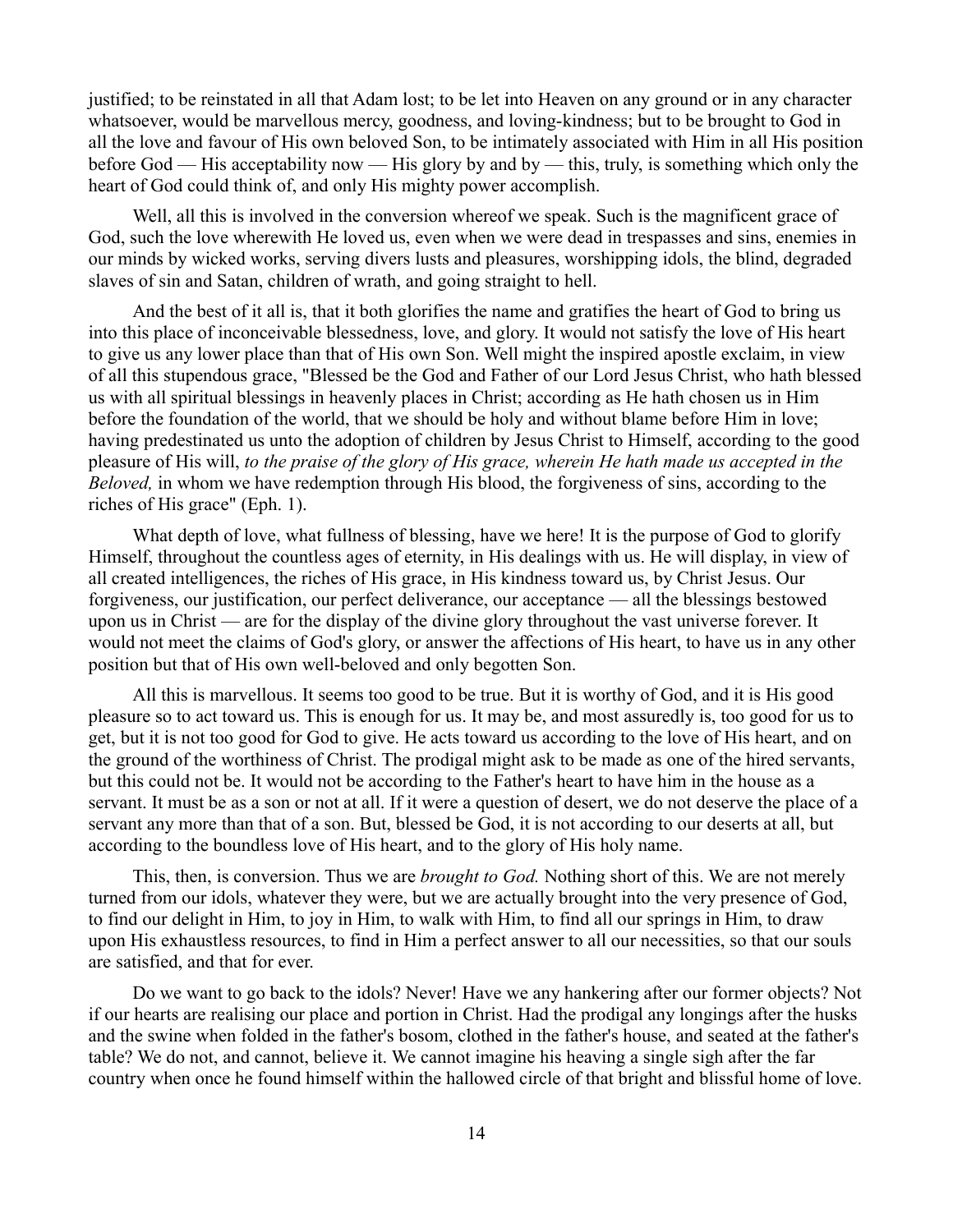justified; to be reinstated in all that Adam lost; to be let into Heaven on any ground or in any character whatsoever, would be marvellous mercy, goodness, and loving-kindness; but to be brought to God in all the love and favour of His own beloved Son, to be intimately associated with Him in all His position before God — His acceptability now — His glory by and by — this, truly, is something which only the heart of God could think of, and only His mighty power accomplish.

Well, all this is involved in the conversion whereof we speak. Such is the magnificent grace of God, such the love wherewith He loved us, even when we were dead in trespasses and sins, enemies in our minds by wicked works, serving divers lusts and pleasures, worshipping idols, the blind, degraded slaves of sin and Satan, children of wrath, and going straight to hell.

And the best of it all is, that it both glorifies the name and gratifies the heart of God to bring us into this place of inconceivable blessedness, love, and glory. It would not satisfy the love of His heart to give us any lower place than that of His own Son. Well might the inspired apostle exclaim, in view of all this stupendous grace, "Blessed be the God and Father of our Lord Jesus Christ, who hath blessed us with all spiritual blessings in heavenly places in Christ; according as He hath chosen us in Him before the foundation of the world, that we should be holy and without blame before Him in love; having predestinated us unto the adoption of children by Jesus Christ to Himself, according to the good pleasure of His will, *to the praise of the glory of His grace, wherein He hath made us accepted in the Beloved,* in whom we have redemption through His blood, the forgiveness of sins, according to the riches of His grace" (Eph. 1).

What depth of love, what fullness of blessing, have we here! It is the purpose of God to glorify Himself, throughout the countless ages of eternity, in His dealings with us. He will display, in view of all created intelligences, the riches of His grace, in His kindness toward us, by Christ Jesus. Our forgiveness, our justification, our perfect deliverance, our acceptance — all the blessings bestowed upon us in Christ — are for the display of the divine glory throughout the vast universe forever. It would not meet the claims of God's glory, or answer the affections of His heart, to have us in any other position but that of His own well-beloved and only begotten Son.

All this is marvellous. It seems too good to be true. But it is worthy of God, and it is His good pleasure so to act toward us. This is enough for us. It may be, and most assuredly is, too good for us to get, but it is not too good for God to give. He acts toward us according to the love of His heart, and on the ground of the worthiness of Christ. The prodigal might ask to be made as one of the hired servants, but this could not be. It would not be according to the Father's heart to have him in the house as a servant. It must be as a son or not at all. If it were a question of desert, we do not deserve the place of a servant any more than that of a son. But, blessed be God, it is not according to our deserts at all, but according to the boundless love of His heart, and to the glory of His holy name.

This, then, is conversion. Thus we are *brought to God.* Nothing short of this. We are not merely turned from our idols, whatever they were, but we are actually brought into the very presence of God, to find our delight in Him, to joy in Him, to walk with Him, to find all our springs in Him, to draw upon His exhaustless resources, to find in Him a perfect answer to all our necessities, so that our souls are satisfied, and that for ever.

Do we want to go back to the idols? Never! Have we any hankering after our former objects? Not if our hearts are realising our place and portion in Christ. Had the prodigal any longings after the husks and the swine when folded in the father's bosom, clothed in the father's house, and seated at the father's table? We do not, and cannot, believe it. We cannot imagine his heaving a single sigh after the far country when once he found himself within the hallowed circle of that bright and blissful home of love.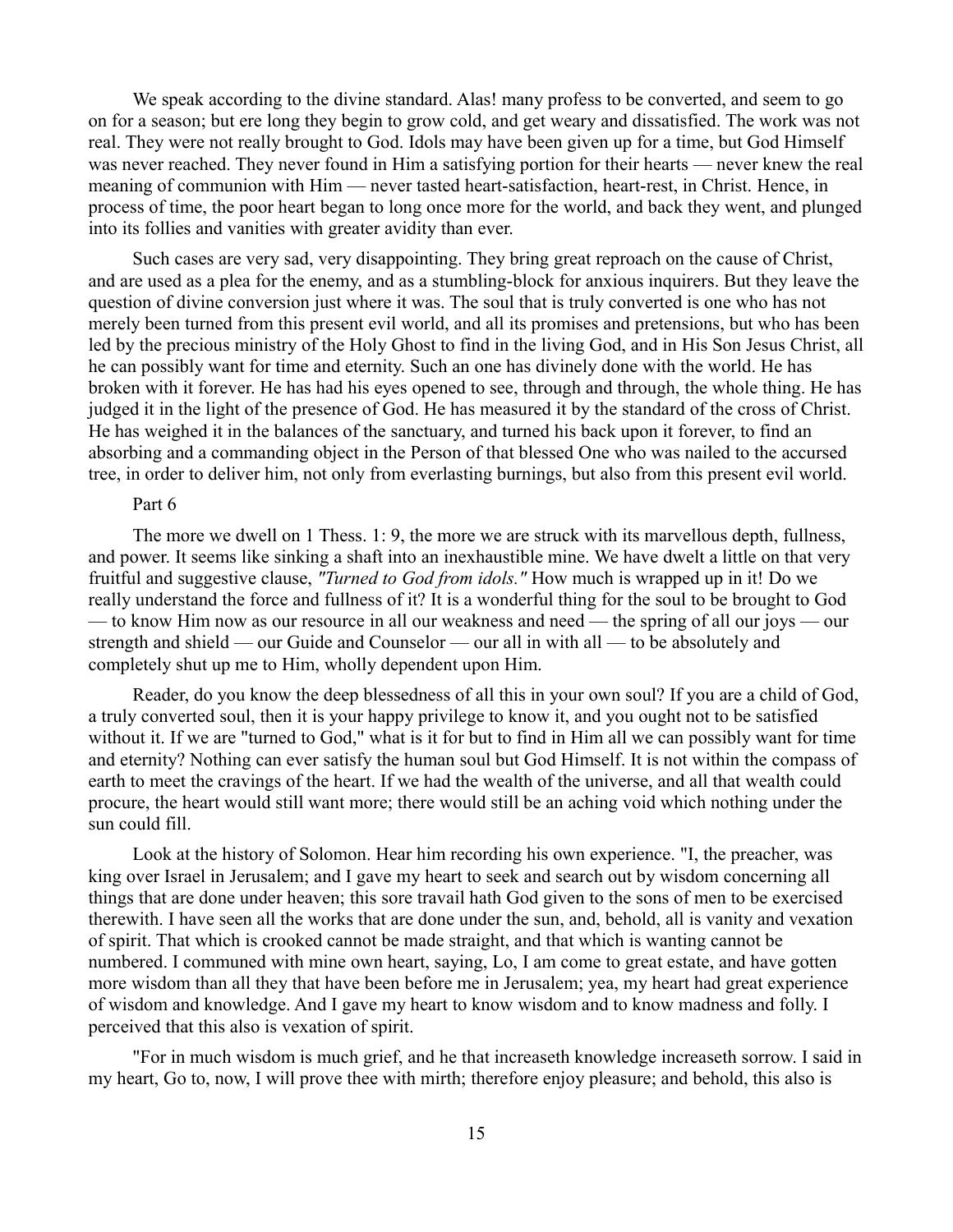We speak according to the divine standard. Alas! many profess to be converted, and seem to go on for a season; but ere long they begin to grow cold, and get weary and dissatisfied. The work was not real. They were not really brought to God. Idols may have been given up for a time, but God Himself was never reached. They never found in Him a satisfying portion for their hearts — never knew the real meaning of communion with Him — never tasted heart-satisfaction, heart-rest, in Christ. Hence, in process of time, the poor heart began to long once more for the world, and back they went, and plunged into its follies and vanities with greater avidity than ever.

Such cases are very sad, very disappointing. They bring great reproach on the cause of Christ, and are used as a plea for the enemy, and as a stumbling-block for anxious inquirers. But they leave the question of divine conversion just where it was. The soul that is truly converted is one who has not merely been turned from this present evil world, and all its promises and pretensions, but who has been led by the precious ministry of the Holy Ghost to find in the living God, and in His Son Jesus Christ, all he can possibly want for time and eternity. Such an one has divinely done with the world. He has broken with it forever. He has had his eyes opened to see, through and through, the whole thing. He has judged it in the light of the presence of God. He has measured it by the standard of the cross of Christ. He has weighed it in the balances of the sanctuary, and turned his back upon it forever, to find an absorbing and a commanding object in the Person of that blessed One who was nailed to the accursed tree, in order to deliver him, not only from everlasting burnings, but also from this present evil world.

## Part 6

The more we dwell on 1 Thess. 1: 9, the more we are struck with its marvellous depth, fullness, and power. It seems like sinking a shaft into an inexhaustible mine. We have dwelt a little on that very fruitful and suggestive clause, *"Turned to God from idols."* How much is wrapped up in it! Do we really understand the force and fullness of it? It is a wonderful thing for the soul to be brought to God — to know Him now as our resource in all our weakness and need — the spring of all our joys — our strength and shield — our Guide and Counselor — our all in with all — to be absolutely and completely shut up me to Him, wholly dependent upon Him.

Reader, do you know the deep blessedness of all this in your own soul? If you are a child of God, a truly converted soul, then it is your happy privilege to know it, and you ought not to be satisfied without it. If we are "turned to God," what is it for but to find in Him all we can possibly want for time and eternity? Nothing can ever satisfy the human soul but God Himself. It is not within the compass of earth to meet the cravings of the heart. If we had the wealth of the universe, and all that wealth could procure, the heart would still want more; there would still be an aching void which nothing under the sun could fill.

Look at the history of Solomon. Hear him recording his own experience. "I, the preacher, was king over Israel in Jerusalem; and I gave my heart to seek and search out by wisdom concerning all things that are done under heaven; this sore travail hath God given to the sons of men to be exercised therewith. I have seen all the works that are done under the sun, and, behold, all is vanity and vexation of spirit. That which is crooked cannot be made straight, and that which is wanting cannot be numbered. I communed with mine own heart, saying, Lo, I am come to great estate, and have gotten more wisdom than all they that have been before me in Jerusalem; yea, my heart had great experience of wisdom and knowledge. And I gave my heart to know wisdom and to know madness and folly. I perceived that this also is vexation of spirit.

"For in much wisdom is much grief, and he that increaseth knowledge increaseth sorrow. I said in my heart, Go to, now, I will prove thee with mirth; therefore enjoy pleasure; and behold, this also is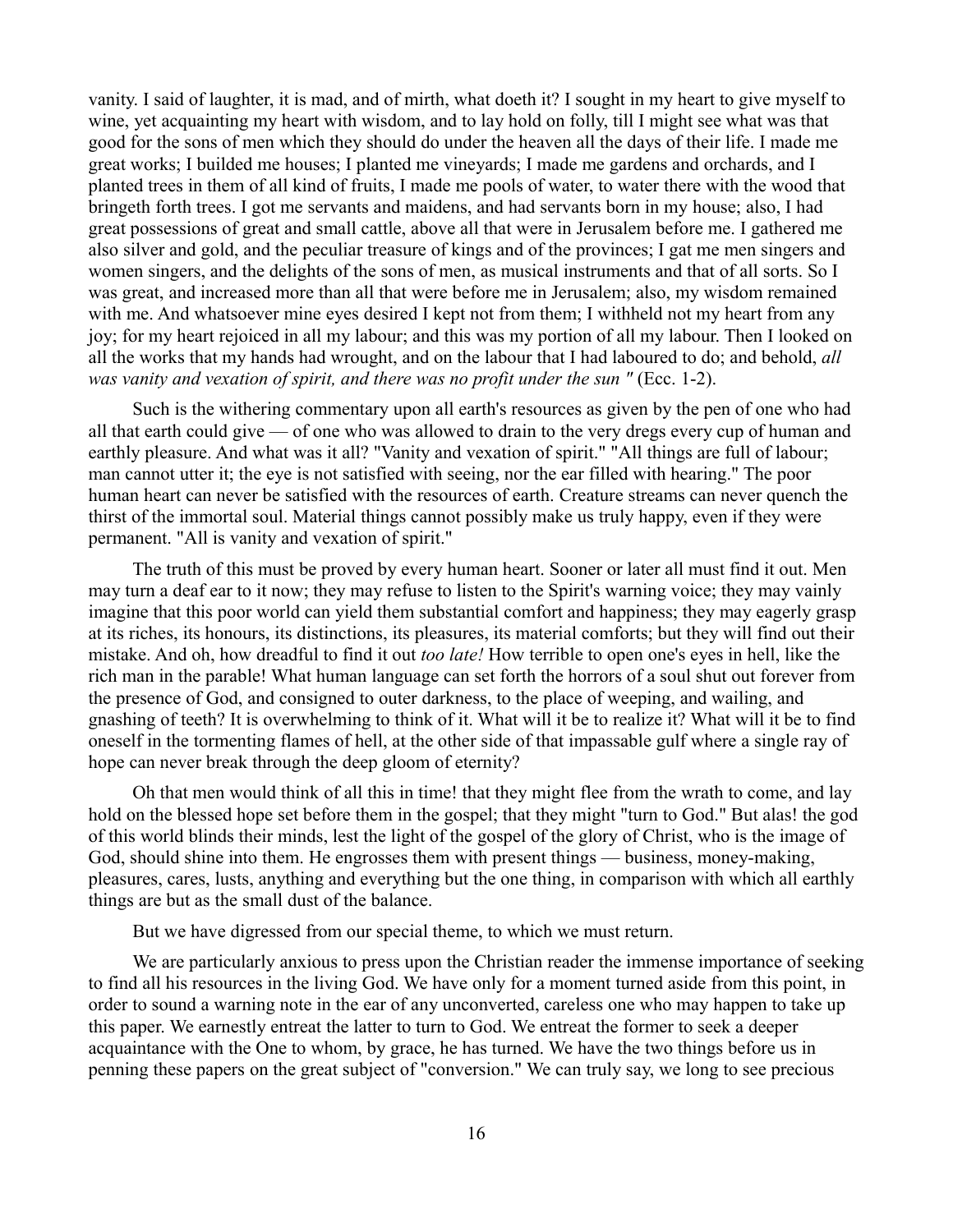vanity. I said of laughter, it is mad, and of mirth, what doeth it? I sought in my heart to give myself to wine, yet acquainting my heart with wisdom, and to lay hold on folly, till I might see what was that good for the sons of men which they should do under the heaven all the days of their life. I made me great works; I builded me houses; I planted me vineyards; I made me gardens and orchards, and I planted trees in them of all kind of fruits, I made me pools of water, to water there with the wood that bringeth forth trees. I got me servants and maidens, and had servants born in my house; also, I had great possessions of great and small cattle, above all that were in Jerusalem before me. I gathered me also silver and gold, and the peculiar treasure of kings and of the provinces; I gat me men singers and women singers, and the delights of the sons of men, as musical instruments and that of all sorts. So I was great, and increased more than all that were before me in Jerusalem; also, my wisdom remained with me. And whatsoever mine eyes desired I kept not from them; I withheld not my heart from any joy; for my heart rejoiced in all my labour; and this was my portion of all my labour. Then I looked on all the works that my hands had wrought, and on the labour that I had laboured to do; and behold, *all was vanity and vexation of spirit, and there was no profit under the sun "* (Ecc. 1-2).

Such is the withering commentary upon all earth's resources as given by the pen of one who had all that earth could give — of one who was allowed to drain to the very dregs every cup of human and earthly pleasure. And what was it all? "Vanity and vexation of spirit." "All things are full of labour; man cannot utter it; the eye is not satisfied with seeing, nor the ear filled with hearing." The poor human heart can never be satisfied with the resources of earth. Creature streams can never quench the thirst of the immortal soul. Material things cannot possibly make us truly happy, even if they were permanent. "All is vanity and vexation of spirit."

The truth of this must be proved by every human heart. Sooner or later all must find it out. Men may turn a deaf ear to it now; they may refuse to listen to the Spirit's warning voice; they may vainly imagine that this poor world can yield them substantial comfort and happiness; they may eagerly grasp at its riches, its honours, its distinctions, its pleasures, its material comforts; but they will find out their mistake. And oh, how dreadful to find it out *too late!* How terrible to open one's eyes in hell, like the rich man in the parable! What human language can set forth the horrors of a soul shut out forever from the presence of God, and consigned to outer darkness, to the place of weeping, and wailing, and gnashing of teeth? It is overwhelming to think of it. What will it be to realize it? What will it be to find oneself in the tormenting flames of hell, at the other side of that impassable gulf where a single ray of hope can never break through the deep gloom of eternity?

Oh that men would think of all this in time! that they might flee from the wrath to come, and lay hold on the blessed hope set before them in the gospel; that they might "turn to God." But alas! the god of this world blinds their minds, lest the light of the gospel of the glory of Christ, who is the image of God, should shine into them. He engrosses them with present things — business, money-making, pleasures, cares, lusts, anything and everything but the one thing, in comparison with which all earthly things are but as the small dust of the balance.

But we have digressed from our special theme, to which we must return.

We are particularly anxious to press upon the Christian reader the immense importance of seeking to find all his resources in the living God. We have only for a moment turned aside from this point, in order to sound a warning note in the ear of any unconverted, careless one who may happen to take up this paper. We earnestly entreat the latter to turn to God. We entreat the former to seek a deeper acquaintance with the One to whom, by grace, he has turned. We have the two things before us in penning these papers on the great subject of "conversion." We can truly say, we long to see precious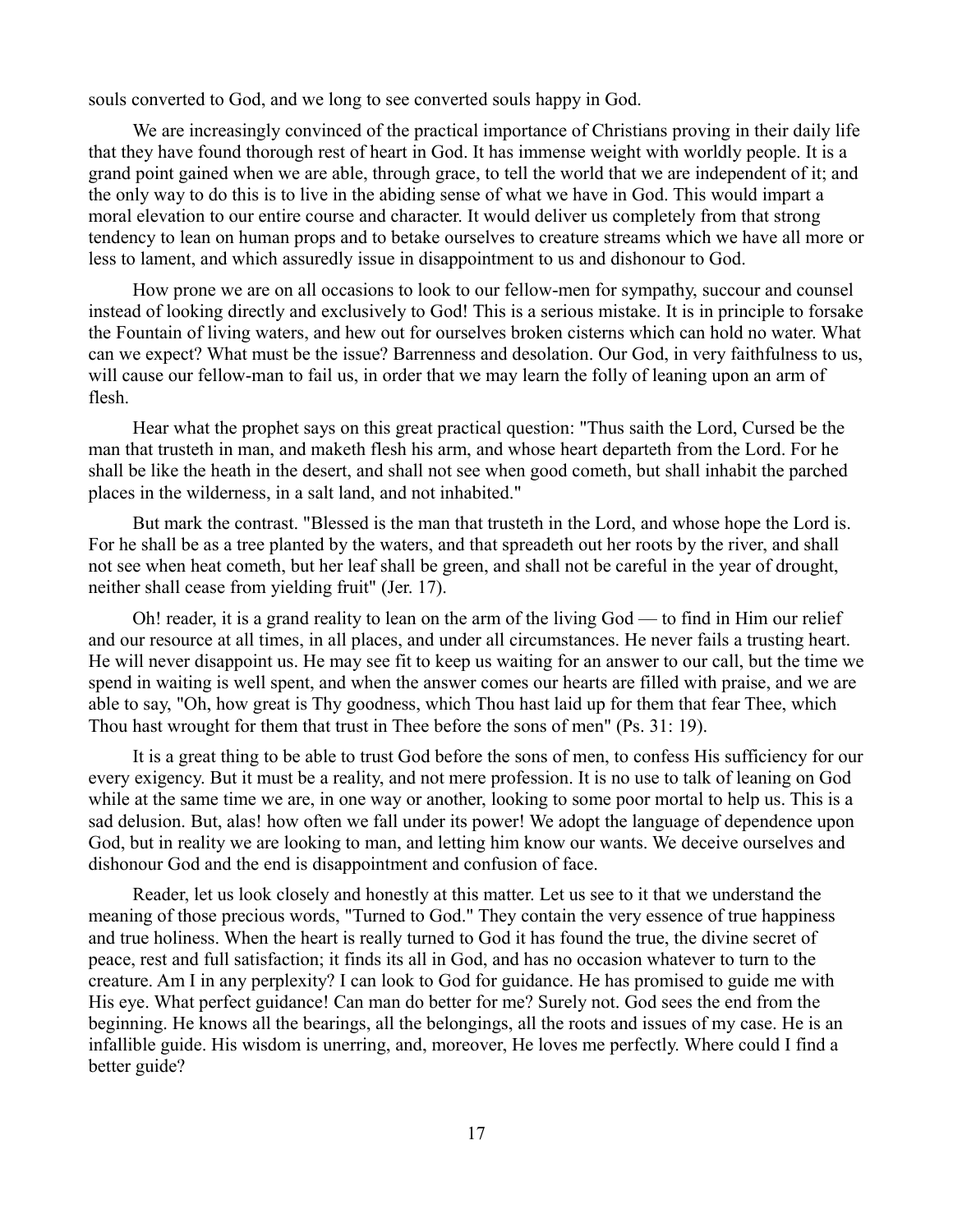souls converted to God, and we long to see converted souls happy in God.

We are increasingly convinced of the practical importance of Christians proving in their daily life that they have found thorough rest of heart in God. It has immense weight with worldly people. It is a grand point gained when we are able, through grace, to tell the world that we are independent of it; and the only way to do this is to live in the abiding sense of what we have in God. This would impart a moral elevation to our entire course and character. It would deliver us completely from that strong tendency to lean on human props and to betake ourselves to creature streams which we have all more or less to lament, and which assuredly issue in disappointment to us and dishonour to God.

How prone we are on all occasions to look to our fellow-men for sympathy, succour and counsel instead of looking directly and exclusively to God! This is a serious mistake. It is in principle to forsake the Fountain of living waters, and hew out for ourselves broken cisterns which can hold no water. What can we expect? What must be the issue? Barrenness and desolation. Our God, in very faithfulness to us, will cause our fellow-man to fail us, in order that we may learn the folly of leaning upon an arm of flesh.

Hear what the prophet says on this great practical question: "Thus saith the Lord, Cursed be the man that trusteth in man, and maketh flesh his arm, and whose heart departeth from the Lord. For he shall be like the heath in the desert, and shall not see when good cometh, but shall inhabit the parched places in the wilderness, in a salt land, and not inhabited."

But mark the contrast. "Blessed is the man that trusteth in the Lord, and whose hope the Lord is. For he shall be as a tree planted by the waters, and that spreadeth out her roots by the river, and shall not see when heat cometh, but her leaf shall be green, and shall not be careful in the year of drought, neither shall cease from yielding fruit" (Jer. 17).

Oh! reader, it is a grand reality to lean on the arm of the living God — to find in Him our relief and our resource at all times, in all places, and under all circumstances. He never fails a trusting heart. He will never disappoint us. He may see fit to keep us waiting for an answer to our call, but the time we spend in waiting is well spent, and when the answer comes our hearts are filled with praise, and we are able to say, "Oh, how great is Thy goodness, which Thou hast laid up for them that fear Thee, which Thou hast wrought for them that trust in Thee before the sons of men" (Ps. 31: 19).

It is a great thing to be able to trust God before the sons of men, to confess His sufficiency for our every exigency. But it must be a reality, and not mere profession. It is no use to talk of leaning on God while at the same time we are, in one way or another, looking to some poor mortal to help us. This is a sad delusion. But, alas! how often we fall under its power! We adopt the language of dependence upon God, but in reality we are looking to man, and letting him know our wants. We deceive ourselves and dishonour God and the end is disappointment and confusion of face.

Reader, let us look closely and honestly at this matter. Let us see to it that we understand the meaning of those precious words, "Turned to God." They contain the very essence of true happiness and true holiness. When the heart is really turned to God it has found the true, the divine secret of peace, rest and full satisfaction; it finds its all in God, and has no occasion whatever to turn to the creature. Am I in any perplexity? I can look to God for guidance. He has promised to guide me with His eye. What perfect guidance! Can man do better for me? Surely not. God sees the end from the beginning. He knows all the bearings, all the belongings, all the roots and issues of my case. He is an infallible guide. His wisdom is unerring, and, moreover, He loves me perfectly. Where could I find a better guide?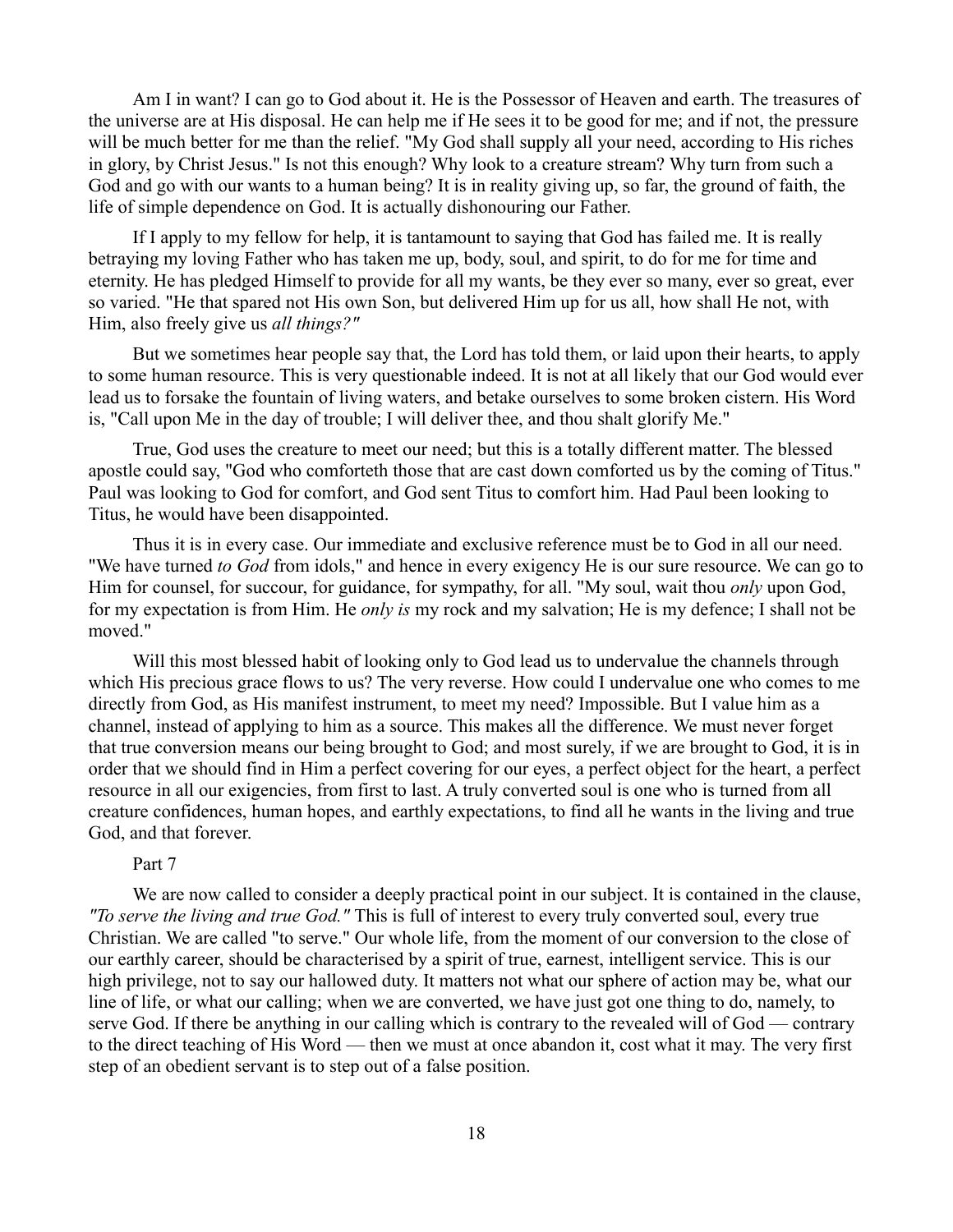Am I in want? I can go to God about it. He is the Possessor of Heaven and earth. The treasures of the universe are at His disposal. He can help me if He sees it to be good for me; and if not, the pressure will be much better for me than the relief. "My God shall supply all your need, according to His riches in glory, by Christ Jesus." Is not this enough? Why look to a creature stream? Why turn from such a God and go with our wants to a human being? It is in reality giving up, so far, the ground of faith, the life of simple dependence on God. It is actually dishonouring our Father.

If I apply to my fellow for help, it is tantamount to saying that God has failed me. It is really betraying my loving Father who has taken me up, body, soul, and spirit, to do for me for time and eternity. He has pledged Himself to provide for all my wants, be they ever so many, ever so great, ever so varied. "He that spared not His own Son, but delivered Him up for us all, how shall He not, with Him, also freely give us *all things?"*

But we sometimes hear people say that, the Lord has told them, or laid upon their hearts, to apply to some human resource. This is very questionable indeed. It is not at all likely that our God would ever lead us to forsake the fountain of living waters, and betake ourselves to some broken cistern. His Word is, "Call upon Me in the day of trouble; I will deliver thee, and thou shalt glorify Me."

True, God uses the creature to meet our need; but this is a totally different matter. The blessed apostle could say, "God who comforteth those that are cast down comforted us by the coming of Titus." Paul was looking to God for comfort, and God sent Titus to comfort him. Had Paul been looking to Titus, he would have been disappointed.

Thus it is in every case. Our immediate and exclusive reference must be to God in all our need. "We have turned *to God* from idols," and hence in every exigency He is our sure resource. We can go to Him for counsel, for succour, for guidance, for sympathy, for all. "My soul, wait thou *only* upon God, for my expectation is from Him. He *only is* my rock and my salvation; He is my defence; I shall not be moved."

Will this most blessed habit of looking only to God lead us to undervalue the channels through which His precious grace flows to us? The very reverse. How could I undervalue one who comes to me directly from God, as His manifest instrument, to meet my need? Impossible. But I value him as a channel, instead of applying to him as a source. This makes all the difference. We must never forget that true conversion means our being brought to God; and most surely, if we are brought to God, it is in order that we should find in Him a perfect covering for our eyes, a perfect object for the heart, a perfect resource in all our exigencies, from first to last. A truly converted soul is one who is turned from all creature confidences, human hopes, and earthly expectations, to find all he wants in the living and true God, and that forever.

## Part 7

We are now called to consider a deeply practical point in our subject. It is contained in the clause, *"To serve the living and true God."* This is full of interest to every truly converted soul, every true Christian. We are called "to serve." Our whole life, from the moment of our conversion to the close of our earthly career, should be characterised by a spirit of true, earnest, intelligent service. This is our high privilege, not to say our hallowed duty. It matters not what our sphere of action may be, what our line of life, or what our calling; when we are converted, we have just got one thing to do, namely, to serve God. If there be anything in our calling which is contrary to the revealed will of God — contrary to the direct teaching of His Word — then we must at once abandon it, cost what it may. The very first step of an obedient servant is to step out of a false position.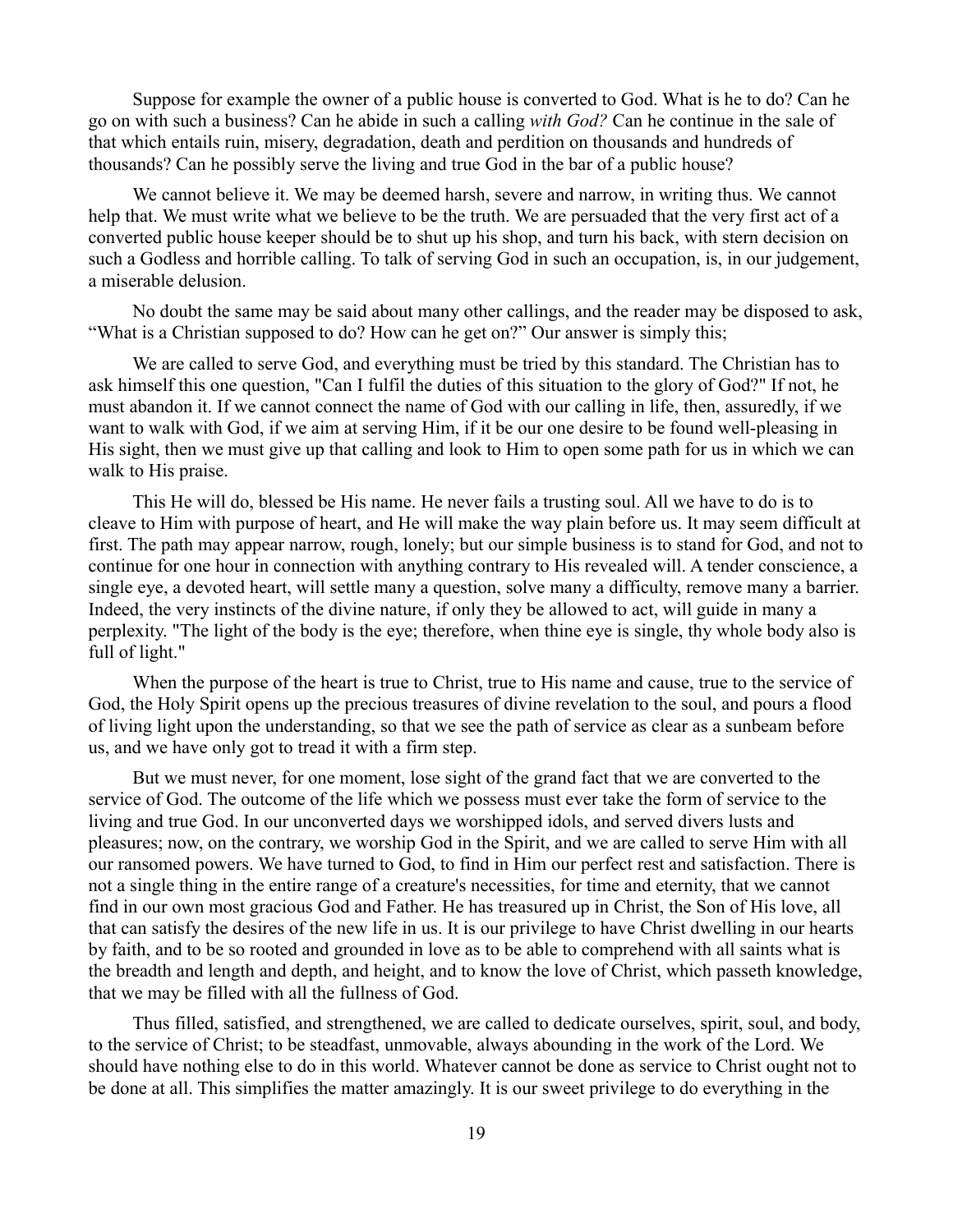Suppose for example the owner of a public house is converted to God. What is he to do? Can he go on with such a business? Can he abide in such a calling *with God?* Can he continue in the sale of that which entails ruin, misery, degradation, death and perdition on thousands and hundreds of thousands? Can he possibly serve the living and true God in the bar of a public house?

We cannot believe it. We may be deemed harsh, severe and narrow, in writing thus. We cannot help that. We must write what we believe to be the truth. We are persuaded that the very first act of a converted public house keeper should be to shut up his shop, and turn his back, with stern decision on such a Godless and horrible calling. To talk of serving God in such an occupation, is, in our judgement, a miserable delusion.

No doubt the same may be said about many other callings, and the reader may be disposed to ask, "What is a Christian supposed to do? How can he get on?" Our answer is simply this;

We are called to serve God, and everything must be tried by this standard. The Christian has to ask himself this one question, "Can I fulfil the duties of this situation to the glory of God?" If not, he must abandon it. If we cannot connect the name of God with our calling in life, then, assuredly, if we want to walk with God, if we aim at serving Him, if it be our one desire to be found well-pleasing in His sight, then we must give up that calling and look to Him to open some path for us in which we can walk to His praise.

This He will do, blessed be His name. He never fails a trusting soul. All we have to do is to cleave to Him with purpose of heart, and He will make the way plain before us. It may seem difficult at first. The path may appear narrow, rough, lonely; but our simple business is to stand for God, and not to continue for one hour in connection with anything contrary to His revealed will. A tender conscience, a single eye, a devoted heart, will settle many a question, solve many a difficulty, remove many a barrier. Indeed, the very instincts of the divine nature, if only they be allowed to act, will guide in many a perplexity. "The light of the body is the eye; therefore, when thine eye is single, thy whole body also is full of light."

When the purpose of the heart is true to Christ, true to His name and cause, true to the service of God, the Holy Spirit opens up the precious treasures of divine revelation to the soul, and pours a flood of living light upon the understanding, so that we see the path of service as clear as a sunbeam before us, and we have only got to tread it with a firm step.

But we must never, for one moment, lose sight of the grand fact that we are converted to the service of God. The outcome of the life which we possess must ever take the form of service to the living and true God. In our unconverted days we worshipped idols, and served divers lusts and pleasures; now, on the contrary, we worship God in the Spirit, and we are called to serve Him with all our ransomed powers. We have turned to God, to find in Him our perfect rest and satisfaction. There is not a single thing in the entire range of a creature's necessities, for time and eternity, that we cannot find in our own most gracious God and Father. He has treasured up in Christ, the Son of His love, all that can satisfy the desires of the new life in us. It is our privilege to have Christ dwelling in our hearts by faith, and to be so rooted and grounded in love as to be able to comprehend with all saints what is the breadth and length and depth, and height, and to know the love of Christ, which passeth knowledge, that we may be filled with all the fullness of God.

Thus filled, satisfied, and strengthened, we are called to dedicate ourselves, spirit, soul, and body, to the service of Christ; to be steadfast, unmovable, always abounding in the work of the Lord. We should have nothing else to do in this world. Whatever cannot be done as service to Christ ought not to be done at all. This simplifies the matter amazingly. It is our sweet privilege to do everything in the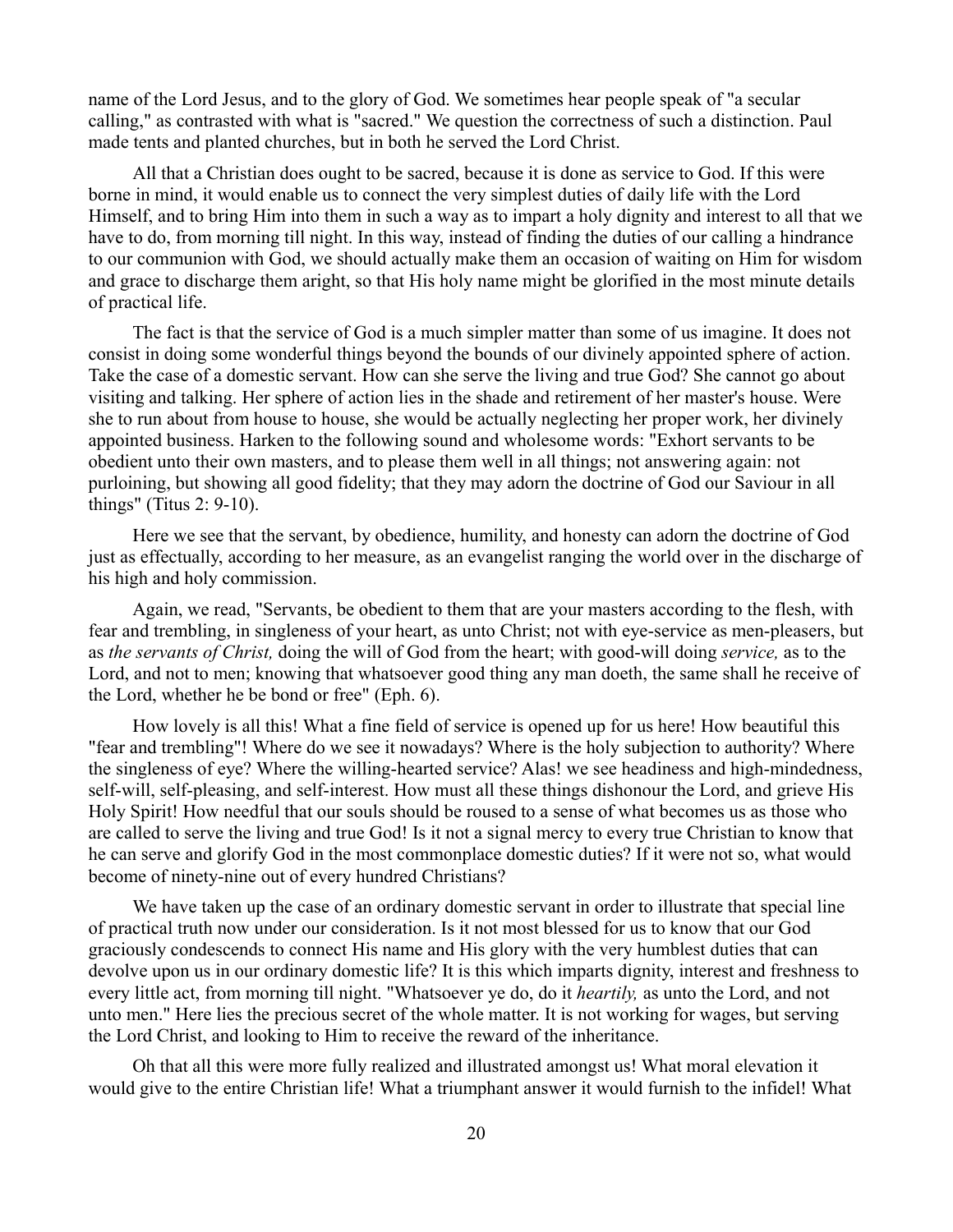name of the Lord Jesus, and to the glory of God. We sometimes hear people speak of "a secular calling," as contrasted with what is "sacred." We question the correctness of such a distinction. Paul made tents and planted churches, but in both he served the Lord Christ.

All that a Christian does ought to be sacred, because it is done as service to God. If this were borne in mind, it would enable us to connect the very simplest duties of daily life with the Lord Himself, and to bring Him into them in such a way as to impart a holy dignity and interest to all that we have to do, from morning till night. In this way, instead of finding the duties of our calling a hindrance to our communion with God, we should actually make them an occasion of waiting on Him for wisdom and grace to discharge them aright, so that His holy name might be glorified in the most minute details of practical life.

The fact is that the service of God is a much simpler matter than some of us imagine. It does not consist in doing some wonderful things beyond the bounds of our divinely appointed sphere of action. Take the case of a domestic servant. How can she serve the living and true God? She cannot go about visiting and talking. Her sphere of action lies in the shade and retirement of her master's house. Were she to run about from house to house, she would be actually neglecting her proper work, her divinely appointed business. Harken to the following sound and wholesome words: "Exhort servants to be obedient unto their own masters, and to please them well in all things; not answering again: not purloining, but showing all good fidelity; that they may adorn the doctrine of God our Saviour in all things" (Titus 2: 9-10).

Here we see that the servant, by obedience, humility, and honesty can adorn the doctrine of God just as effectually, according to her measure, as an evangelist ranging the world over in the discharge of his high and holy commission.

Again, we read, "Servants, be obedient to them that are your masters according to the flesh, with fear and trembling, in singleness of your heart, as unto Christ; not with eye-service as men-pleasers, but as *the servants of Christ,* doing the will of God from the heart; with good-will doing *service,* as to the Lord, and not to men; knowing that whatsoever good thing any man doeth, the same shall he receive of the Lord, whether he be bond or free" (Eph. 6).

How lovely is all this! What a fine field of service is opened up for us here! How beautiful this "fear and trembling"! Where do we see it nowadays? Where is the holy subjection to authority? Where the singleness of eye? Where the willing-hearted service? Alas! we see headiness and high-mindedness, self-will, self-pleasing, and self-interest. How must all these things dishonour the Lord, and grieve His Holy Spirit! How needful that our souls should be roused to a sense of what becomes us as those who are called to serve the living and true God! Is it not a signal mercy to every true Christian to know that he can serve and glorify God in the most commonplace domestic duties? If it were not so, what would become of ninety-nine out of every hundred Christians?

We have taken up the case of an ordinary domestic servant in order to illustrate that special line of practical truth now under our consideration. Is it not most blessed for us to know that our God graciously condescends to connect His name and His glory with the very humblest duties that can devolve upon us in our ordinary domestic life? It is this which imparts dignity, interest and freshness to every little act, from morning till night. "Whatsoever ye do, do it *heartily,* as unto the Lord, and not unto men." Here lies the precious secret of the whole matter. It is not working for wages, but serving the Lord Christ, and looking to Him to receive the reward of the inheritance.

Oh that all this were more fully realized and illustrated amongst us! What moral elevation it would give to the entire Christian life! What a triumphant answer it would furnish to the infidel! What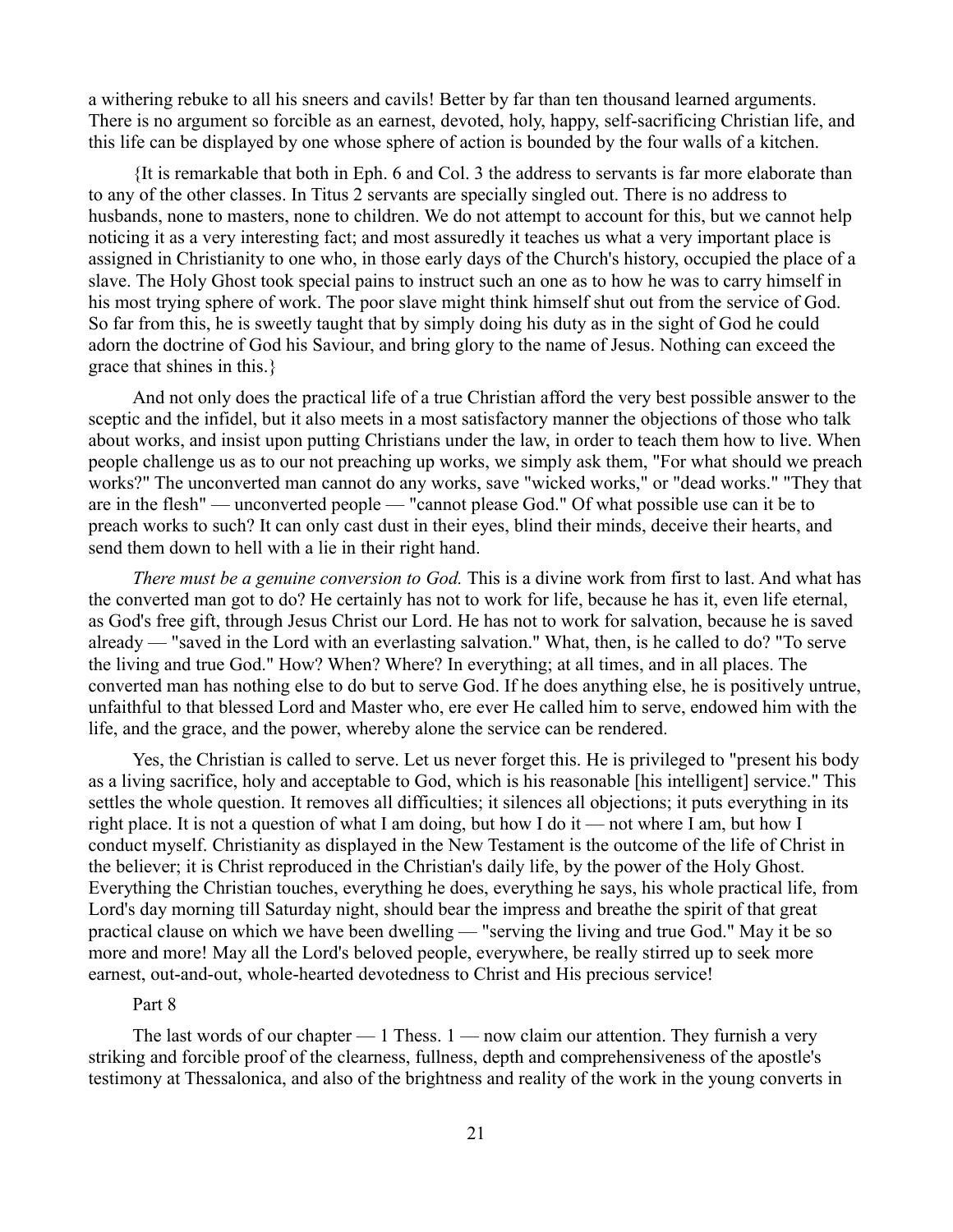a withering rebuke to all his sneers and cavils! Better by far than ten thousand learned arguments. There is no argument so forcible as an earnest, devoted, holy, happy, self-sacrificing Christian life, and this life can be displayed by one whose sphere of action is bounded by the four walls of a kitchen.

{It is remarkable that both in Eph. 6 and Col. 3 the address to servants is far more elaborate than to any of the other classes. In Titus 2 servants are specially singled out. There is no address to husbands, none to masters, none to children. We do not attempt to account for this, but we cannot help noticing it as a very interesting fact; and most assuredly it teaches us what a very important place is assigned in Christianity to one who, in those early days of the Church's history, occupied the place of a slave. The Holy Ghost took special pains to instruct such an one as to how he was to carry himself in his most trying sphere of work. The poor slave might think himself shut out from the service of God. So far from this, he is sweetly taught that by simply doing his duty as in the sight of God he could adorn the doctrine of God his Saviour, and bring glory to the name of Jesus. Nothing can exceed the grace that shines in this.}

And not only does the practical life of a true Christian afford the very best possible answer to the sceptic and the infidel, but it also meets in a most satisfactory manner the objections of those who talk about works, and insist upon putting Christians under the law, in order to teach them how to live. When people challenge us as to our not preaching up works, we simply ask them, "For what should we preach works?" The unconverted man cannot do any works, save "wicked works," or "dead works." "They that are in the flesh" — unconverted people — "cannot please God." Of what possible use can it be to preach works to such? It can only cast dust in their eyes, blind their minds, deceive their hearts, and send them down to hell with a lie in their right hand.

*There must be a genuine conversion to God.* This is a divine work from first to last. And what has the converted man got to do? He certainly has not to work for life, because he has it, even life eternal, as God's free gift, through Jesus Christ our Lord. He has not to work for salvation, because he is saved already — "saved in the Lord with an everlasting salvation." What, then, is he called to do? "To serve the living and true God." How? When? Where? In everything; at all times, and in all places. The converted man has nothing else to do but to serve God. If he does anything else, he is positively untrue, unfaithful to that blessed Lord and Master who, ere ever He called him to serve, endowed him with the life, and the grace, and the power, whereby alone the service can be rendered.

Yes, the Christian is called to serve. Let us never forget this. He is privileged to "present his body as a living sacrifice, holy and acceptable to God, which is his reasonable [his intelligent] service." This settles the whole question. It removes all difficulties; it silences all objections; it puts everything in its right place. It is not a question of what I am doing, but how I do it — not where I am, but how I conduct myself. Christianity as displayed in the New Testament is the outcome of the life of Christ in the believer; it is Christ reproduced in the Christian's daily life, by the power of the Holy Ghost. Everything the Christian touches, everything he does, everything he says, his whole practical life, from Lord's day morning till Saturday night, should bear the impress and breathe the spirit of that great practical clause on which we have been dwelling — "serving the living and true God." May it be so more and more! May all the Lord's beloved people, everywhere, be really stirred up to seek more earnest, out-and-out, whole-hearted devotedness to Christ and His precious service!

### Part 8

The last words of our chapter  $-1$  Thess.  $1 -$  now claim our attention. They furnish a very striking and forcible proof of the clearness, fullness, depth and comprehensiveness of the apostle's testimony at Thessalonica, and also of the brightness and reality of the work in the young converts in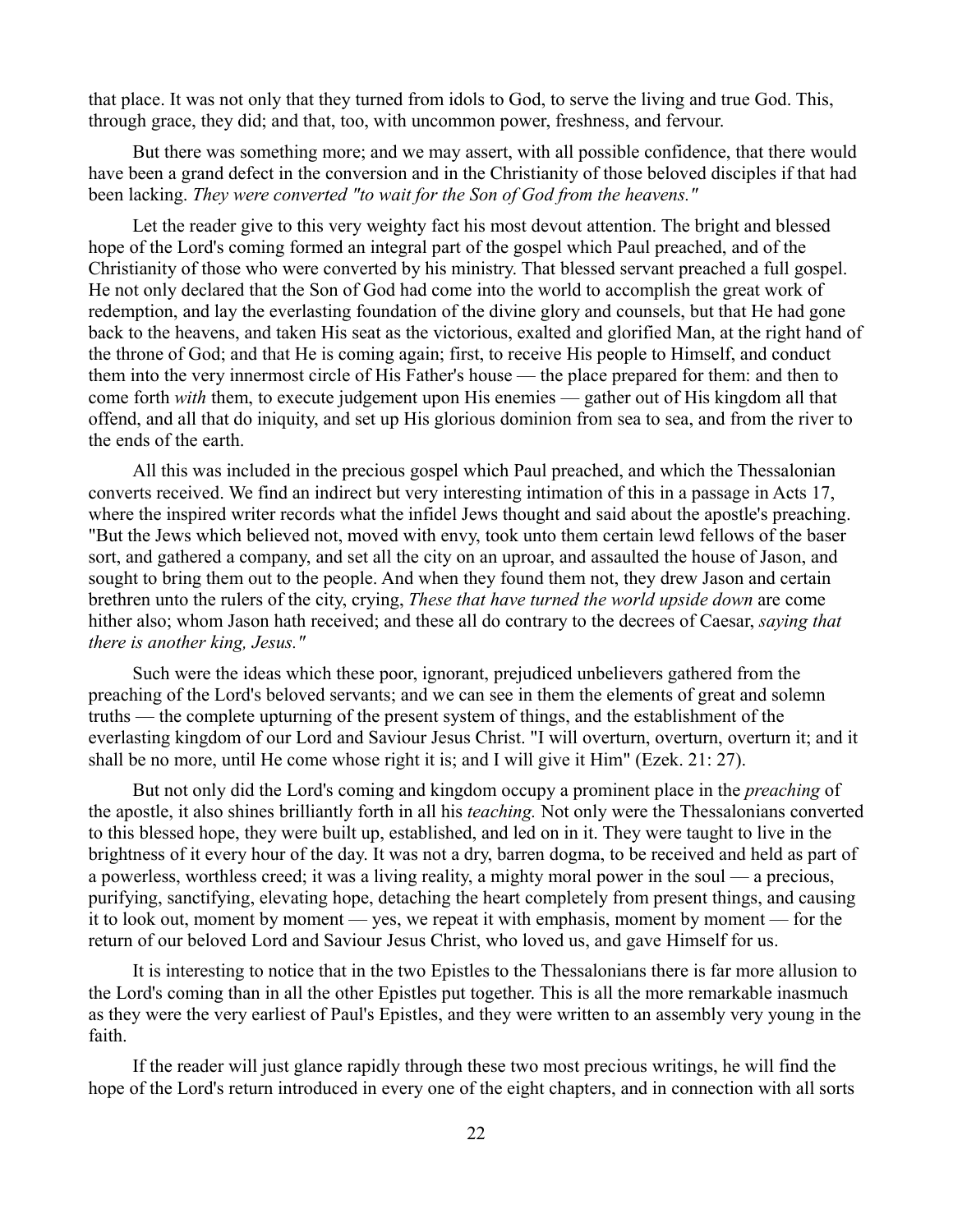that place. It was not only that they turned from idols to God, to serve the living and true God. This, through grace, they did; and that, too, with uncommon power, freshness, and fervour.

But there was something more; and we may assert, with all possible confidence, that there would have been a grand defect in the conversion and in the Christianity of those beloved disciples if that had been lacking. *They were converted "to wait for the Son of God from the heavens."*

Let the reader give to this very weighty fact his most devout attention. The bright and blessed hope of the Lord's coming formed an integral part of the gospel which Paul preached, and of the Christianity of those who were converted by his ministry. That blessed servant preached a full gospel. He not only declared that the Son of God had come into the world to accomplish the great work of redemption, and lay the everlasting foundation of the divine glory and counsels, but that He had gone back to the heavens, and taken His seat as the victorious, exalted and glorified Man, at the right hand of the throne of God; and that He is coming again; first, to receive His people to Himself, and conduct them into the very innermost circle of His Father's house — the place prepared for them: and then to come forth *with* them, to execute judgement upon His enemies — gather out of His kingdom all that offend, and all that do iniquity, and set up His glorious dominion from sea to sea, and from the river to the ends of the earth.

All this was included in the precious gospel which Paul preached, and which the Thessalonian converts received. We find an indirect but very interesting intimation of this in a passage in Acts 17, where the inspired writer records what the infidel Jews thought and said about the apostle's preaching. "But the Jews which believed not, moved with envy, took unto them certain lewd fellows of the baser sort, and gathered a company, and set all the city on an uproar, and assaulted the house of Jason, and sought to bring them out to the people. And when they found them not, they drew Jason and certain brethren unto the rulers of the city, crying, *These that have turned the world upside down* are come hither also; whom Jason hath received; and these all do contrary to the decrees of Caesar, *saying that there is another king, Jesus."*

Such were the ideas which these poor, ignorant, prejudiced unbelievers gathered from the preaching of the Lord's beloved servants; and we can see in them the elements of great and solemn truths — the complete upturning of the present system of things, and the establishment of the everlasting kingdom of our Lord and Saviour Jesus Christ. "I will overturn, overturn, overturn it; and it shall be no more, until He come whose right it is; and I will give it Him" (Ezek. 21: 27).

But not only did the Lord's coming and kingdom occupy a prominent place in the *preaching* of the apostle, it also shines brilliantly forth in all his *teaching.* Not only were the Thessalonians converted to this blessed hope, they were built up, established, and led on in it. They were taught to live in the brightness of it every hour of the day. It was not a dry, barren dogma, to be received and held as part of a powerless, worthless creed; it was a living reality, a mighty moral power in the soul — a precious, purifying, sanctifying, elevating hope, detaching the heart completely from present things, and causing it to look out, moment by moment — yes, we repeat it with emphasis, moment by moment — for the return of our beloved Lord and Saviour Jesus Christ, who loved us, and gave Himself for us.

It is interesting to notice that in the two Epistles to the Thessalonians there is far more allusion to the Lord's coming than in all the other Epistles put together. This is all the more remarkable inasmuch as they were the very earliest of Paul's Epistles, and they were written to an assembly very young in the faith.

If the reader will just glance rapidly through these two most precious writings, he will find the hope of the Lord's return introduced in every one of the eight chapters, and in connection with all sorts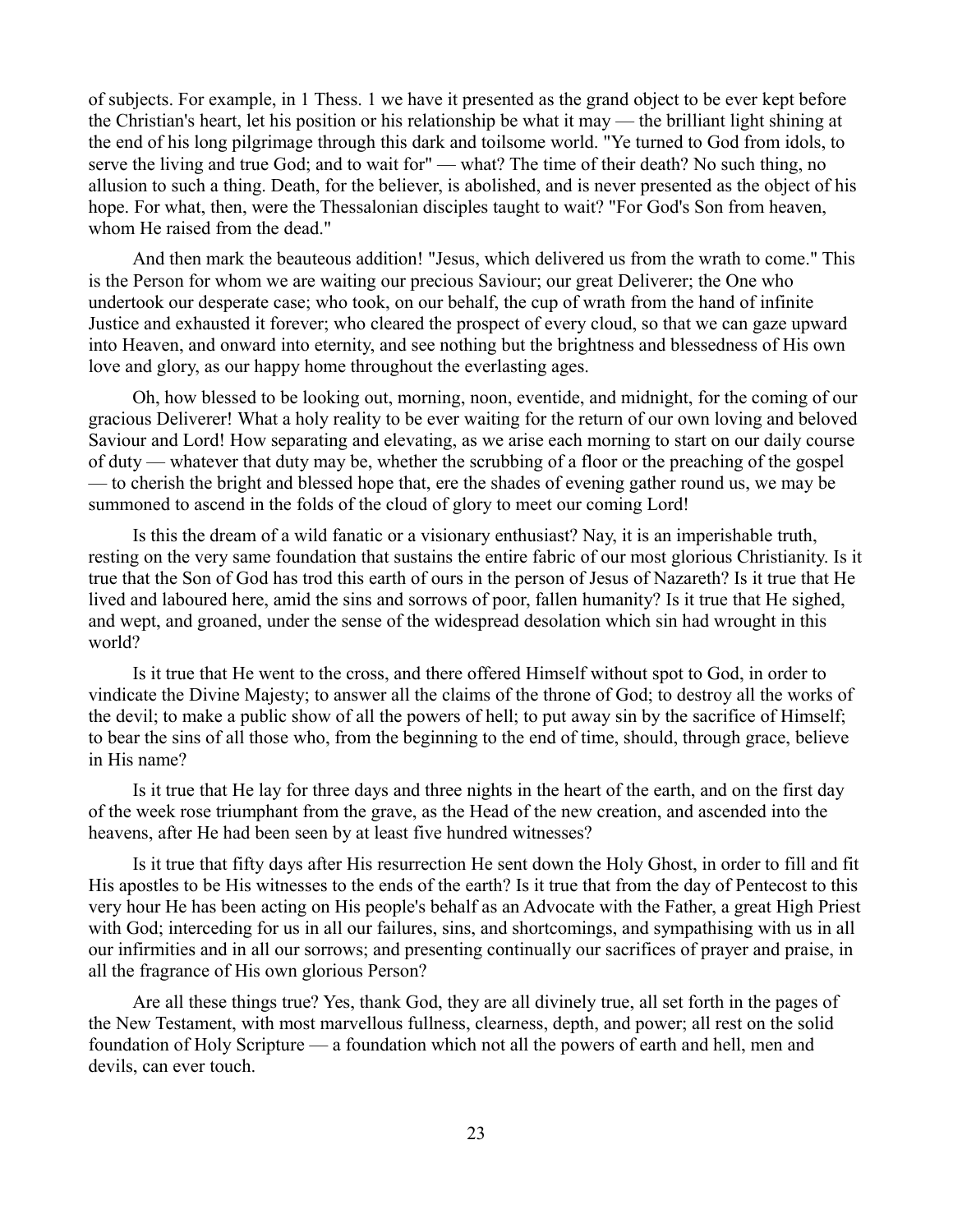of subjects. For example, in 1 Thess. 1 we have it presented as the grand object to be ever kept before the Christian's heart, let his position or his relationship be what it may — the brilliant light shining at the end of his long pilgrimage through this dark and toilsome world. "Ye turned to God from idols, to serve the living and true God; and to wait for" — what? The time of their death? No such thing, no allusion to such a thing. Death, for the believer, is abolished, and is never presented as the object of his hope. For what, then, were the Thessalonian disciples taught to wait? "For God's Son from heaven, whom He raised from the dead."

And then mark the beauteous addition! "Jesus, which delivered us from the wrath to come." This is the Person for whom we are waiting our precious Saviour; our great Deliverer; the One who undertook our desperate case; who took, on our behalf, the cup of wrath from the hand of infinite Justice and exhausted it forever; who cleared the prospect of every cloud, so that we can gaze upward into Heaven, and onward into eternity, and see nothing but the brightness and blessedness of His own love and glory, as our happy home throughout the everlasting ages.

Oh, how blessed to be looking out, morning, noon, eventide, and midnight, for the coming of our gracious Deliverer! What a holy reality to be ever waiting for the return of our own loving and beloved Saviour and Lord! How separating and elevating, as we arise each morning to start on our daily course of duty — whatever that duty may be, whether the scrubbing of a floor or the preaching of the gospel — to cherish the bright and blessed hope that, ere the shades of evening gather round us, we may be summoned to ascend in the folds of the cloud of glory to meet our coming Lord!

Is this the dream of a wild fanatic or a visionary enthusiast? Nay, it is an imperishable truth, resting on the very same foundation that sustains the entire fabric of our most glorious Christianity. Is it true that the Son of God has trod this earth of ours in the person of Jesus of Nazareth? Is it true that He lived and laboured here, amid the sins and sorrows of poor, fallen humanity? Is it true that He sighed, and wept, and groaned, under the sense of the widespread desolation which sin had wrought in this world?

Is it true that He went to the cross, and there offered Himself without spot to God, in order to vindicate the Divine Majesty; to answer all the claims of the throne of God; to destroy all the works of the devil; to make a public show of all the powers of hell; to put away sin by the sacrifice of Himself; to bear the sins of all those who, from the beginning to the end of time, should, through grace, believe in His name?

Is it true that He lay for three days and three nights in the heart of the earth, and on the first day of the week rose triumphant from the grave, as the Head of the new creation, and ascended into the heavens, after He had been seen by at least five hundred witnesses?

Is it true that fifty days after His resurrection He sent down the Holy Ghost, in order to fill and fit His apostles to be His witnesses to the ends of the earth? Is it true that from the day of Pentecost to this very hour He has been acting on His people's behalf as an Advocate with the Father, a great High Priest with God; interceding for us in all our failures, sins, and shortcomings, and sympathising with us in all our infirmities and in all our sorrows; and presenting continually our sacrifices of prayer and praise, in all the fragrance of His own glorious Person?

Are all these things true? Yes, thank God, they are all divinely true, all set forth in the pages of the New Testament, with most marvellous fullness, clearness, depth, and power; all rest on the solid foundation of Holy Scripture — a foundation which not all the powers of earth and hell, men and devils, can ever touch.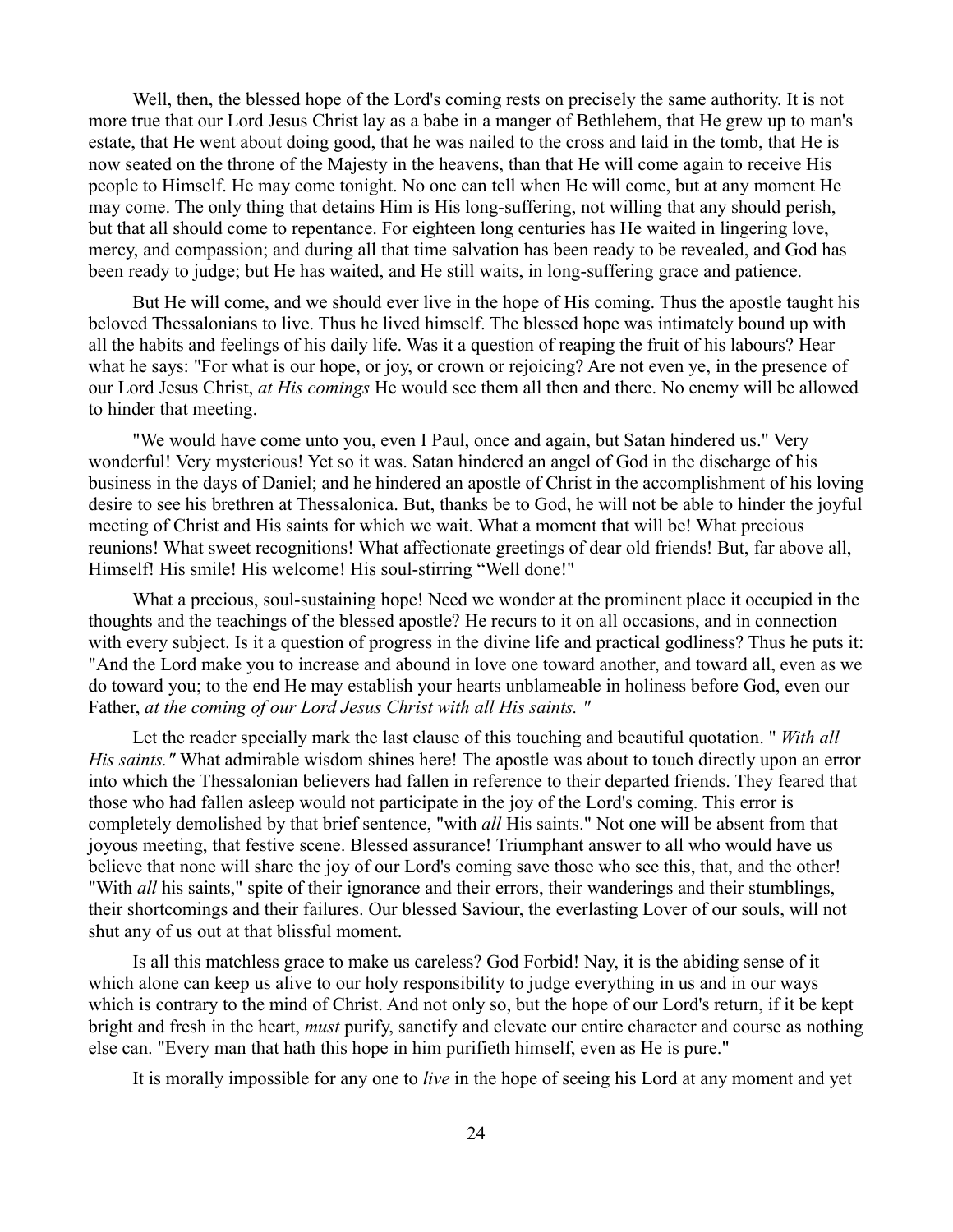Well, then, the blessed hope of the Lord's coming rests on precisely the same authority. It is not more true that our Lord Jesus Christ lay as a babe in a manger of Bethlehem, that He grew up to man's estate, that He went about doing good, that he was nailed to the cross and laid in the tomb, that He is now seated on the throne of the Majesty in the heavens, than that He will come again to receive His people to Himself. He may come tonight. No one can tell when He will come, but at any moment He may come. The only thing that detains Him is His long-suffering, not willing that any should perish, but that all should come to repentance. For eighteen long centuries has He waited in lingering love, mercy, and compassion; and during all that time salvation has been ready to be revealed, and God has been ready to judge; but He has waited, and He still waits, in long-suffering grace and patience.

But He will come, and we should ever live in the hope of His coming. Thus the apostle taught his beloved Thessalonians to live. Thus he lived himself. The blessed hope was intimately bound up with all the habits and feelings of his daily life. Was it a question of reaping the fruit of his labours? Hear what he says: "For what is our hope, or joy, or crown or rejoicing? Are not even ye, in the presence of our Lord Jesus Christ, *at His comings* He would see them all then and there. No enemy will be allowed to hinder that meeting.

"We would have come unto you, even I Paul, once and again, but Satan hindered us." Very wonderful! Very mysterious! Yet so it was. Satan hindered an angel of God in the discharge of his business in the days of Daniel; and he hindered an apostle of Christ in the accomplishment of his loving desire to see his brethren at Thessalonica. But, thanks be to God, he will not be able to hinder the joyful meeting of Christ and His saints for which we wait. What a moment that will be! What precious reunions! What sweet recognitions! What affectionate greetings of dear old friends! But, far above all, Himself! His smile! His welcome! His soul-stirring "Well done!"

What a precious, soul-sustaining hope! Need we wonder at the prominent place it occupied in the thoughts and the teachings of the blessed apostle? He recurs to it on all occasions, and in connection with every subject. Is it a question of progress in the divine life and practical godliness? Thus he puts it: "And the Lord make you to increase and abound in love one toward another, and toward all, even as we do toward you; to the end He may establish your hearts unblameable in holiness before God, even our Father, *at the coming of our Lord Jesus Christ with all His saints. "*

Let the reader specially mark the last clause of this touching and beautiful quotation. " *With all His saints."* What admirable wisdom shines here! The apostle was about to touch directly upon an error into which the Thessalonian believers had fallen in reference to their departed friends. They feared that those who had fallen asleep would not participate in the joy of the Lord's coming. This error is completely demolished by that brief sentence, "with *all* His saints." Not one will be absent from that joyous meeting, that festive scene. Blessed assurance! Triumphant answer to all who would have us believe that none will share the joy of our Lord's coming save those who see this, that, and the other! "With *all* his saints," spite of their ignorance and their errors, their wanderings and their stumblings, their shortcomings and their failures. Our blessed Saviour, the everlasting Lover of our souls, will not shut any of us out at that blissful moment.

Is all this matchless grace to make us careless? God Forbid! Nay, it is the abiding sense of it which alone can keep us alive to our holy responsibility to judge everything in us and in our ways which is contrary to the mind of Christ. And not only so, but the hope of our Lord's return, if it be kept bright and fresh in the heart, *must* purify, sanctify and elevate our entire character and course as nothing else can. "Every man that hath this hope in him purifieth himself, even as He is pure."

It is morally impossible for any one to *live* in the hope of seeing his Lord at any moment and yet